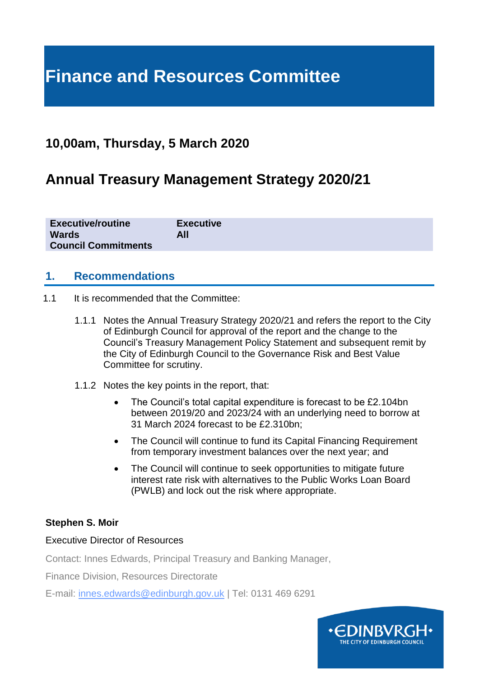# **Finance and Resources Committee**

## **10,00am, Thursday, 5 March 2020**

## **Annual Treasury Management Strategy 2020/21**

| <b>Executive/routine</b>   | <b>Executive</b> |
|----------------------------|------------------|
| <b>Wards</b>               | All              |
| <b>Council Commitments</b> |                  |

## **1. Recommendations**

- 1.1 It is recommended that the Committee:
	- 1.1.1 Notes the Annual Treasury Strategy 2020/21 and refers the report to the City of Edinburgh Council for approval of the report and the change to the Council's Treasury Management Policy Statement and subsequent remit by the City of Edinburgh Council to the Governance Risk and Best Value Committee for scrutiny.
	- 1.1.2 Notes the key points in the report, that:
		- The Council's total capital expenditure is forecast to be £2.104bn between 2019/20 and 2023/24 with an underlying need to borrow at 31 March 2024 forecast to be £2.310bn;
		- The Council will continue to fund its Capital Financing Requirement from temporary investment balances over the next year; and
		- The Council will continue to seek opportunities to mitigate future interest rate risk with alternatives to the Public Works Loan Board (PWLB) and lock out the risk where appropriate.

### **Stephen S. Moir**

### Executive Director of Resources

Contact: Innes Edwards, Principal Treasury and Banking Manager,

Finance Division, Resources Directorate

E-mail: innes.edwards@edinburgh.gov.uk | Tel: 0131 469 6291

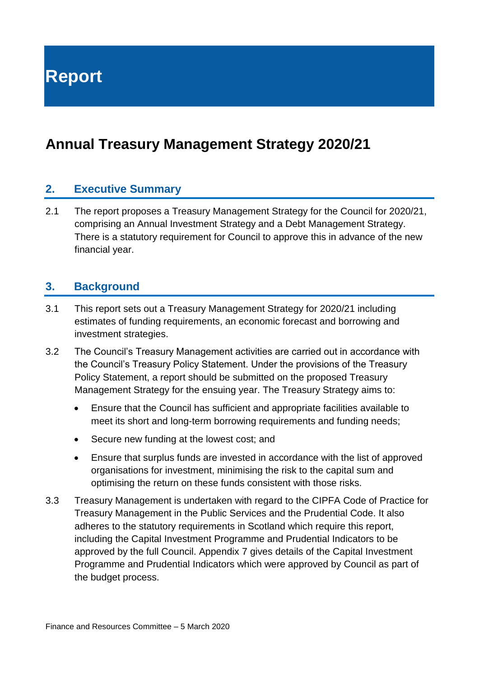**Report**

## **Annual Treasury Management Strategy 2020/21**

## **2. Executive Summary**

2.1 The report proposes a Treasury Management Strategy for the Council for 2020/21, comprising an Annual Investment Strategy and a Debt Management Strategy. There is a statutory requirement for Council to approve this in advance of the new financial year.

## **3. Background**

- 3.1 This report sets out a Treasury Management Strategy for 2020/21 including estimates of funding requirements, an economic forecast and borrowing and investment strategies.
- 3.2 The Council's Treasury Management activities are carried out in accordance with the Council's Treasury Policy Statement. Under the provisions of the Treasury Policy Statement, a report should be submitted on the proposed Treasury Management Strategy for the ensuing year. The Treasury Strategy aims to:
	- Ensure that the Council has sufficient and appropriate facilities available to meet its short and long-term borrowing requirements and funding needs;
	- Secure new funding at the lowest cost; and
	- Ensure that surplus funds are invested in accordance with the list of approved organisations for investment, minimising the risk to the capital sum and optimising the return on these funds consistent with those risks.
- 3.3 Treasury Management is undertaken with regard to the CIPFA Code of Practice for Treasury Management in the Public Services and the Prudential Code. It also adheres to the statutory requirements in Scotland which require this report, including the Capital Investment Programme and Prudential Indicators to be approved by the full Council. Appendix 7 gives details of the Capital Investment Programme and Prudential Indicators which were approved by Council as part of the budget process.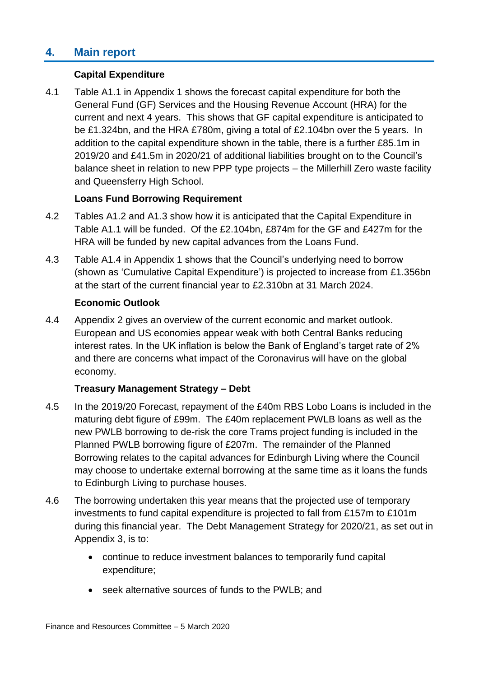## **4. Main report**

## **Capital Expenditure**

4.1 Table A1.1 in Appendix 1 shows the forecast capital expenditure for both the General Fund (GF) Services and the Housing Revenue Account (HRA) for the current and next 4 years. This shows that GF capital expenditure is anticipated to be £1.324bn, and the HRA £780m, giving a total of £2.104bn over the 5 years. In addition to the capital expenditure shown in the table, there is a further £85.1m in 2019/20 and £41.5m in 2020/21 of additional liabilities brought on to the Council's balance sheet in relation to new PPP type projects – the Millerhill Zero waste facility and Queensferry High School.

### **Loans Fund Borrowing Requirement**

- 4.2 Tables A1.2 and A1.3 show how it is anticipated that the Capital Expenditure in Table A1.1 will be funded. Of the £2.104bn, £874m for the GF and £427m for the HRA will be funded by new capital advances from the Loans Fund.
- 4.3 Table A1.4 in Appendix 1 shows that the Council's underlying need to borrow (shown as 'Cumulative Capital Expenditure') is projected to increase from £1.356bn at the start of the current financial year to £2.310bn at 31 March 2024.

## **Economic Outlook**

4.4 Appendix 2 gives an overview of the current economic and market outlook. European and US economies appear weak with both Central Banks reducing interest rates. In the UK inflation is below the Bank of England's target rate of 2% and there are concerns what impact of the Coronavirus will have on the global economy.

## **Treasury Management Strategy – Debt**

- 4.5 In the 2019/20 Forecast, repayment of the £40m RBS Lobo Loans is included in the maturing debt figure of £99m. The £40m replacement PWLB loans as well as the new PWLB borrowing to de-risk the core Trams project funding is included in the Planned PWLB borrowing figure of £207m. The remainder of the Planned Borrowing relates to the capital advances for Edinburgh Living where the Council may choose to undertake external borrowing at the same time as it loans the funds to Edinburgh Living to purchase houses.
- 4.6 The borrowing undertaken this year means that the projected use of temporary investments to fund capital expenditure is projected to fall from £157m to £101m during this financial year. The Debt Management Strategy for 2020/21, as set out in Appendix 3, is to:
	- continue to reduce investment balances to temporarily fund capital expenditure;
	- seek alternative sources of funds to the PWLB; and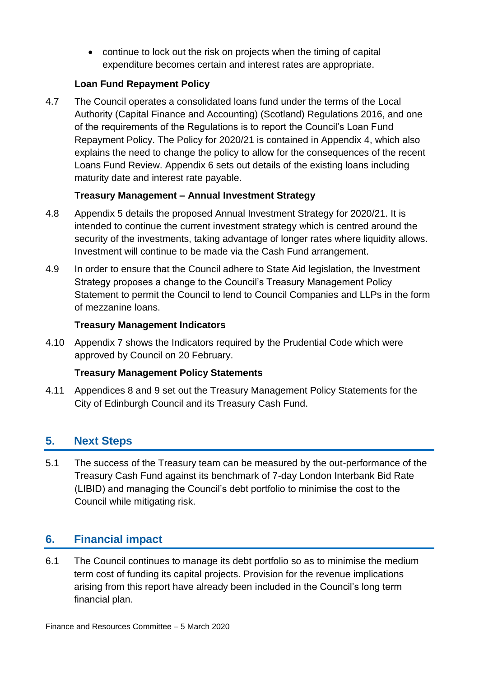• continue to lock out the risk on projects when the timing of capital expenditure becomes certain and interest rates are appropriate.

## **Loan Fund Repayment Policy**

4.7 The Council operates a consolidated loans fund under the terms of the Local Authority (Capital Finance and Accounting) (Scotland) Regulations 2016, and one of the requirements of the Regulations is to report the Council's Loan Fund Repayment Policy. The Policy for 2020/21 is contained in Appendix 4, which also explains the need to change the policy to allow for the consequences of the recent Loans Fund Review. Appendix 6 sets out details of the existing loans including maturity date and interest rate payable.

## **Treasury Management – Annual Investment Strategy**

- 4.8 Appendix 5 details the proposed Annual Investment Strategy for 2020/21. It is intended to continue the current investment strategy which is centred around the security of the investments, taking advantage of longer rates where liquidity allows. Investment will continue to be made via the Cash Fund arrangement.
- 4.9 In order to ensure that the Council adhere to State Aid legislation, the Investment Strategy proposes a change to the Council's Treasury Management Policy Statement to permit the Council to lend to Council Companies and LLPs in the form of mezzanine loans.

## **Treasury Management Indicators**

4.10 Appendix 7 shows the Indicators required by the Prudential Code which were approved by Council on 20 February.

## **Treasury Management Policy Statements**

4.11 Appendices 8 and 9 set out the Treasury Management Policy Statements for the City of Edinburgh Council and its Treasury Cash Fund.

## **5. Next Steps**

5.1 The success of the Treasury team can be measured by the out-performance of the Treasury Cash Fund against its benchmark of 7-day London Interbank Bid Rate (LIBID) and managing the Council's debt portfolio to minimise the cost to the Council while mitigating risk.

## **6. Financial impact**

6.1 The Council continues to manage its debt portfolio so as to minimise the medium term cost of funding its capital projects. Provision for the revenue implications arising from this report have already been included in the Council's long term financial plan.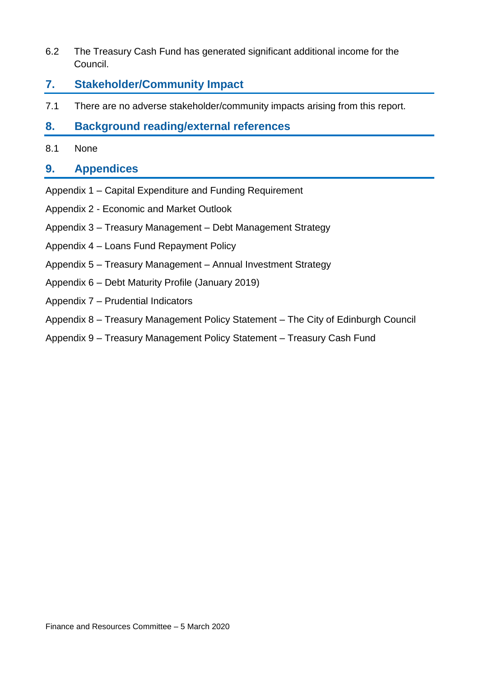6.2 The Treasury Cash Fund has generated significant additional income for the Council.

## **7. Stakeholder/Community Impact**

7.1 There are no adverse stakeholder/community impacts arising from this report.

## **8. Background reading/external references**

8.1 None

## **9. Appendices**

- Appendix 1 Capital Expenditure and Funding Requirement
- Appendix 2 Economic and Market Outlook
- Appendix 3 Treasury Management Debt Management Strategy
- Appendix 4 Loans Fund Repayment Policy
- Appendix 5 Treasury Management Annual Investment Strategy
- Appendix 6 Debt Maturity Profile (January 2019)
- Appendix 7 Prudential Indicators
- Appendix 8 Treasury Management Policy Statement The City of Edinburgh Council
- Appendix 9 Treasury Management Policy Statement Treasury Cash Fund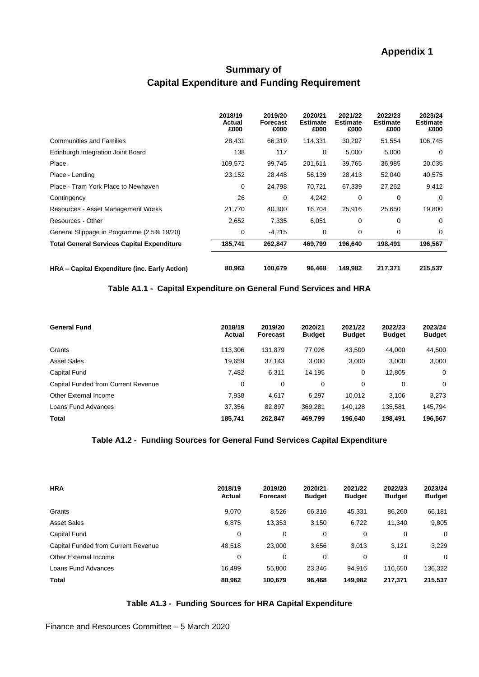|                                                   | 2018/19<br>Actual<br>£000 | 2019/20<br>Forecast<br>£000 | 2020/21<br><b>Estimate</b><br>£000 | 2021/22<br><b>Estimate</b><br>£000 | 2022/23<br><b>Estimate</b><br>£000 | 2023/24<br><b>Estimate</b><br>£000 |
|---------------------------------------------------|---------------------------|-----------------------------|------------------------------------|------------------------------------|------------------------------------|------------------------------------|
| <b>Communities and Families</b>                   | 28,431                    | 66,319                      | 114,331                            | 30,207                             | 51,554                             | 106,745                            |
| Edinburgh Integration Joint Board                 | 138                       | 117                         | 0                                  | 5,000                              | 5,000                              | 0                                  |
| Place                                             | 109,572                   | 99,745                      | 201,611                            | 39,765                             | 36,985                             | 20,035                             |
| Place - Lending                                   | 23,152                    | 28,448                      | 56,139                             | 28,413                             | 52,040                             | 40,575                             |
| Place - Tram York Place to Newhaven               | 0                         | 24,798                      | 70,721                             | 67,339                             | 27,262                             | 9,412                              |
| Contingency                                       | 26                        | 0                           | 4,242                              | 0                                  | 0                                  | $\Omega$                           |
| Resources - Asset Management Works                | 21,770                    | 40,300                      | 16,704                             | 25,916                             | 25,650                             | 19,800                             |
| Resources - Other                                 | 2,652                     | 7,335                       | 6,051                              | 0                                  | 0                                  | 0                                  |
| General Slippage in Programme (2.5% 19/20)        | 0                         | $-4.215$                    | 0                                  | 0                                  | 0                                  | 0                                  |
| <b>Total General Services Capital Expenditure</b> | 185,741                   | 262,847                     | 469,799                            | 196,640                            | 198,491                            | 196,567                            |
| HRA - Capital Expenditure (inc. Early Action)     | 80,962                    | 100,679                     | 96,468                             | 149,982                            | 217,371                            | 215,537                            |

## **Summary of Capital Expenditure and Funding Requirement**

### **Table A1.1 - Capital Expenditure on General Fund Services and HRA**

| <b>General Fund</b>                 | 2018/19<br>Actual | 2019/20<br>Forecast | 2020/21<br><b>Budget</b> | 2021/22<br><b>Budget</b> | 2022/23<br><b>Budget</b> | 2023/24<br><b>Budget</b> |
|-------------------------------------|-------------------|---------------------|--------------------------|--------------------------|--------------------------|--------------------------|
| Grants                              | 113,306           | 131,879             | 77,026                   | 43,500                   | 44,000                   | 44,500                   |
| <b>Asset Sales</b>                  | 19,659            | 37,143              | 3,000                    | 3,000                    | 3,000                    | 3,000                    |
| Capital Fund                        | 7,482             | 6,311               | 14.195                   | 0                        | 12,805                   | 0                        |
| Capital Funded from Current Revenue | 0                 | 0                   | 0                        | 0                        | 0                        | $\Omega$                 |
| Other External Income               | 7,938             | 4.617               | 6.297                    | 10,012                   | 3,106                    | 3,273                    |
| Loans Fund Advances                 | 37,356            | 82,897              | 369,281                  | 140,128                  | 135,581                  | 145,794                  |
| <b>Total</b>                        | 185,741           | 262,847             | 469,799                  | 196,640                  | 198,491                  | 196,567                  |

### **Table A1.2 - Funding Sources for General Fund Services Capital Expenditure**

| <b>HRA</b>                          | 2018/19<br>Actual | 2019/20<br><b>Forecast</b> | 2020/21<br><b>Budget</b> | 2021/22<br><b>Budget</b> | 2022/23<br><b>Budget</b> | 2023/24<br><b>Budget</b> |
|-------------------------------------|-------------------|----------------------------|--------------------------|--------------------------|--------------------------|--------------------------|
| Grants                              | 9.070             | 8,526                      | 66,316                   | 45,331                   | 86,260                   | 66,181                   |
| <b>Asset Sales</b>                  | 6,875             | 13,353                     | 3,150                    | 6,722                    | 11,340                   | 9,805                    |
| Capital Fund                        | 0                 | 0                          | 0                        | 0                        | 0                        | $\Omega$                 |
| Capital Funded from Current Revenue | 48,518            | 23,000                     | 3,656                    | 3,013                    | 3.121                    | 3,229                    |
| Other External Income               | 0                 | 0                          | 0                        | 0                        | 0                        | $\Omega$                 |
| Loans Fund Advances                 | 16,499            | 55.800                     | 23,346                   | 94,916                   | 116.650                  | 136,322                  |
| Total                               | 80,962            | 100,679                    | 96,468                   | 149,982                  | 217,371                  | 215,537                  |

### **Table A1.3 - Funding Sources for HRA Capital Expenditure**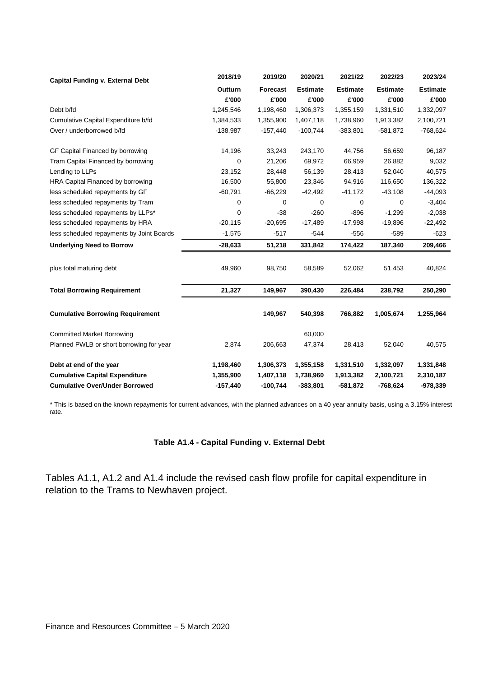| <b>Capital Funding v. External Debt</b>   | 2018/19    | 2019/20    | 2020/21         | 2021/22         | 2022/23         | 2023/24         |
|-------------------------------------------|------------|------------|-----------------|-----------------|-----------------|-----------------|
|                                           | Outturn    | Forecast   | <b>Estimate</b> | <b>Estimate</b> | <b>Estimate</b> | <b>Estimate</b> |
|                                           | £'000      | £'000      | £'000           | £'000           | £'000           | £'000           |
| Debt b/fd                                 | 1,245,546  | 1,198,460  | 1,306,373       | 1,355,159       | 1,331,510       | 1,332,097       |
| Cumulative Capital Expenditure b/fd       | 1,384,533  | 1,355,900  | 1,407,118       | 1,738,960       | 1,913,382       | 2,100,721       |
| Over / underborrowed b/fd                 | $-138,987$ | $-157,440$ | $-100,744$      | $-383,801$      | $-581,872$      | -768,624        |
| GF Capital Financed by borrowing          | 14,196     | 33,243     | 243,170         | 44,756          | 56,659          | 96,187          |
| Tram Capital Financed by borrowing        | 0          | 21,206     | 69,972          | 66,959          | 26,882          | 9,032           |
| Lending to LLPs                           | 23,152     | 28,448     | 56,139          | 28,413          | 52,040          | 40,575          |
| HRA Capital Financed by borrowing         | 16,500     | 55,800     | 23,346          | 94,916          | 116,650         | 136,322         |
| less scheduled repayments by GF           | $-60,791$  | $-66,229$  | $-42,492$       | $-41,172$       | $-43,108$       | $-44,093$       |
| less scheduled repayments by Tram         | 0          | 0          | 0               | 0               | 0               | $-3,404$        |
| less scheduled repayments by LLPs*        | 0          | $-38$      | $-260$          | $-896$          | $-1,299$        | $-2,038$        |
| less scheduled repayments by HRA          | $-20,115$  | $-20,695$  | $-17,489$       | $-17,998$       | $-19,896$       | $-22,492$       |
| less scheduled repayments by Joint Boards | $-1,575$   | $-517$     | -544            | $-556$          | $-589$          | $-623$          |
| <b>Underlying Need to Borrow</b>          | $-28,633$  | 51,218     | 331,842         | 174,422         | 187,340         | 209,466         |
| plus total maturing debt                  | 49,960     | 98,750     | 58,589          | 52,062          | 51,453          | 40,824          |
| <b>Total Borrowing Requirement</b>        | 21,327     | 149,967    | 390,430         | 226,484         | 238,792         | 250,290         |
| <b>Cumulative Borrowing Requirement</b>   |            | 149,967    | 540,398         | 766,882         | 1,005,674       | 1,255,964       |
| <b>Committed Market Borrowing</b>         |            |            | 60,000          |                 |                 |                 |
| Planned PWLB or short borrowing for year  | 2,874      | 206,663    | 47,374          | 28,413          | 52,040          | 40,575          |
| Debt at end of the year                   | 1,198,460  | 1,306,373  | 1,355,158       | 1,331,510       | 1,332,097       | 1,331,848       |
| <b>Cumulative Capital Expenditure</b>     | 1,355,900  | 1,407,118  | 1,738,960       | 1,913,382       | 2,100,721       | 2,310,187       |
| <b>Cumulative Over/Under Borrowed</b>     | $-157,440$ | $-100,744$ | $-383,801$      | -581,872        | -768,624        | $-978,339$      |

\* This is based on the known repayments for current advances, with the planned advances on a 40 year annuity basis, using a 3.15% interest rate.

### **Table A1.4 - Capital Funding v. External Debt**

Tables A1.1, A1.2 and A1.4 include the revised cash flow profile for capital expenditure in relation to the Trams to Newhaven project.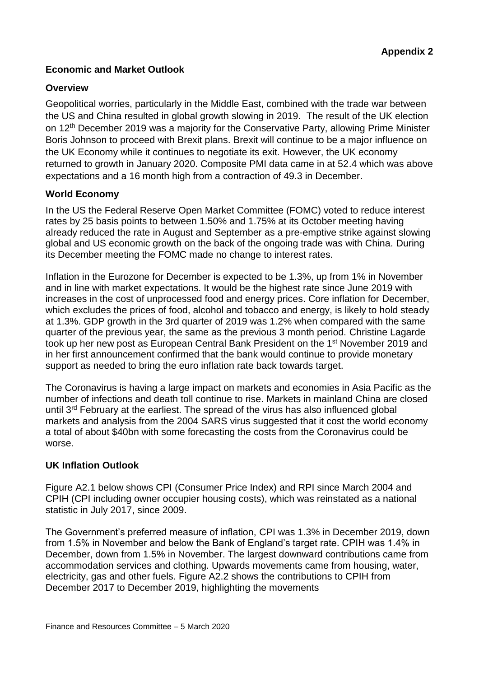## **Economic and Market Outlook**

## **Overview**

Geopolitical worries, particularly in the Middle East, combined with the trade war between the US and China resulted in global growth slowing in 2019. The result of the UK election on 12<sup>th</sup> December 2019 was a majority for the Conservative Party, allowing Prime Minister Boris Johnson to proceed with Brexit plans. Brexit will continue to be a major influence on the UK Economy while it continues to negotiate its exit. However, the UK economy returned to growth in January 2020. Composite PMI data came in at 52.4 which was above expectations and a 16 month high from a contraction of 49.3 in December.

### **World Economy**

In the US the Federal Reserve Open Market Committee (FOMC) voted to reduce interest rates by 25 basis points to between 1.50% and 1.75% at its October meeting having already reduced the rate in August and September as a pre-emptive strike against slowing global and US economic growth on the back of the ongoing trade was with China. During its December meeting the FOMC made no change to interest rates.

Inflation in the Eurozone for December is expected to be 1.3%, up from 1% in November and in line with market expectations. It would be the highest rate since June 2019 with increases in the cost of unprocessed food and energy prices. Core inflation for December, which excludes the prices of food, alcohol and tobacco and energy, is likely to hold steady at 1.3%. GDP growth in the 3rd quarter of 2019 was 1.2% when compared with the same quarter of the previous year, the same as the previous 3 month period. Christine Lagarde took up her new post as European Central Bank President on the 1st November 2019 and in her first announcement confirmed that the bank would continue to provide monetary support as needed to bring the euro inflation rate back towards target.

The Coronavirus is having a large impact on markets and economies in Asia Pacific as the number of infections and death toll continue to rise. Markets in mainland China are closed until 3rd February at the earliest. The spread of the virus has also influenced global markets and analysis from the 2004 SARS virus suggested that it cost the world economy a total of about \$40bn with some forecasting the costs from the Coronavirus could be worse.

## **UK Inflation Outlook**

Figure A2.1 below shows CPI (Consumer Price Index) and RPI since March 2004 and CPIH (CPI including owner occupier housing costs), which was reinstated as a national statistic in July 2017, since 2009.

The Government's preferred measure of inflation, CPI was 1.3% in December 2019, down from 1.5% in November and below the Bank of England's target rate. CPIH was 1.4% in December, down from 1.5% in November. The largest downward contributions came from accommodation services and clothing. Upwards movements came from housing, water, electricity, gas and other fuels. Figure A2.2 shows the contributions to CPIH from December 2017 to December 2019, highlighting the movements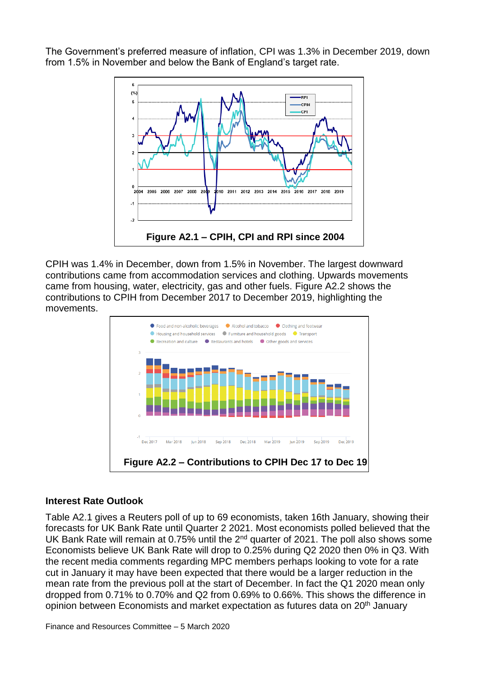The Government's preferred measure of inflation, CPI was 1.3% in December 2019, down from 1.5% in November and below the Bank of England's target rate.



CPIH was 1.4% in December, down from 1.5% in November. The largest downward contributions came from accommodation services and clothing. Upwards movements came from housing, water, electricity, gas and other fuels. Figure A2.2 shows the contributions to CPIH from December 2017 to December 2019, highlighting the movements.



### **Interest Rate Outlook**

Table A2.1 gives a Reuters poll of up to 69 economists, taken 16th January, showing their forecasts for UK Bank Rate until Quarter 2 2021. Most economists polled believed that the UK Bank Rate will remain at 0.75% until the 2<sup>nd</sup> quarter of 2021. The poll also shows some Economists believe UK Bank Rate will drop to 0.25% during Q2 2020 then 0% in Q3. With the recent media comments regarding MPC members perhaps looking to vote for a rate cut in January it may have been expected that there would be a larger reduction in the mean rate from the previous poll at the start of December. In fact the Q1 2020 mean only dropped from 0.71% to 0.70% and Q2 from 0.69% to 0.66%. This shows the difference in opinion between Economists and market expectation as futures data on 20<sup>th</sup> January

Finance and Resources Committee – 5 March 2020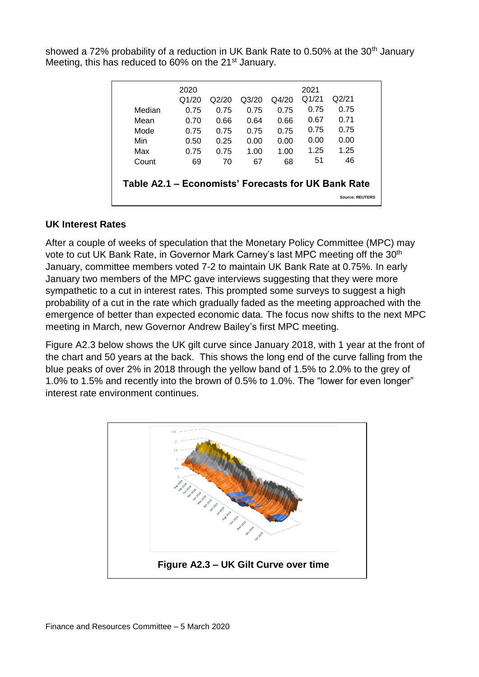showed a 72% probability of a reduction in UK Bank Rate to 0.50% at the  $30<sup>th</sup>$  January Meeting, this has reduced to 60% on the 21<sup>st</sup> January.

|                                                     | 2020  |       |       |       | 2021  |                 |  |  |  |
|-----------------------------------------------------|-------|-------|-------|-------|-------|-----------------|--|--|--|
|                                                     | Q1/20 | Q2/20 | Q3/20 | Q4/20 | Q1/21 | Q2/21           |  |  |  |
| Median                                              | 0.75  | 0.75  | 0.75  | 0.75  | 0.75  | 0.75            |  |  |  |
| Mean                                                | 0.70  | 0.66  | 0.64  | 0.66  | 0.67  | O 71            |  |  |  |
| Mode                                                | 0.75  | 0.75  | 0.75  | 0.75  | 0.75  | 0.75            |  |  |  |
| Min                                                 | 0.50  | 0.25  | 0.00  | 0.00  | 0.00  | 0.00            |  |  |  |
| Max                                                 | 0.75  | 0.75  | 1.00  | 1.00  | 1.25  | 1.25            |  |  |  |
| Count                                               | 69    | 70    | 67    | 68    | 51    | 46              |  |  |  |
| Table A2.1 – Economists' Forecasts for UK Bank Rate |       |       |       |       |       |                 |  |  |  |
|                                                     |       |       |       |       |       | Source: REUTERS |  |  |  |

## **UK Interest Rates**

After a couple of weeks of speculation that the Monetary Policy Committee (MPC) may vote to cut UK Bank Rate, in Governor Mark Carney's last MPC meeting off the 30<sup>th</sup> January, committee members voted 7-2 to maintain UK Bank Rate at 0.75%. In early January two members of the MPC gave interviews suggesting that they were more sympathetic to a cut in interest rates. This prompted some surveys to suggest a high probability of a cut in the rate which gradually faded as the meeting approached with the emergence of better than expected economic data. The focus now shifts to the next MPC meeting in March, new Governor Andrew Bailey's first MPC meeting.

Figure A2.3 below shows the UK gilt curve since January 2018, with 1 year at the front of the chart and 50 years at the back. This shows the long end of the curve falling from the blue peaks of over 2% in 2018 through the yellow band of 1.5% to 2.0% to the grey of 1.0% to 1.5% and recently into the brown of 0.5% to 1.0%. The "lower for even longer" interest rate environment continues.

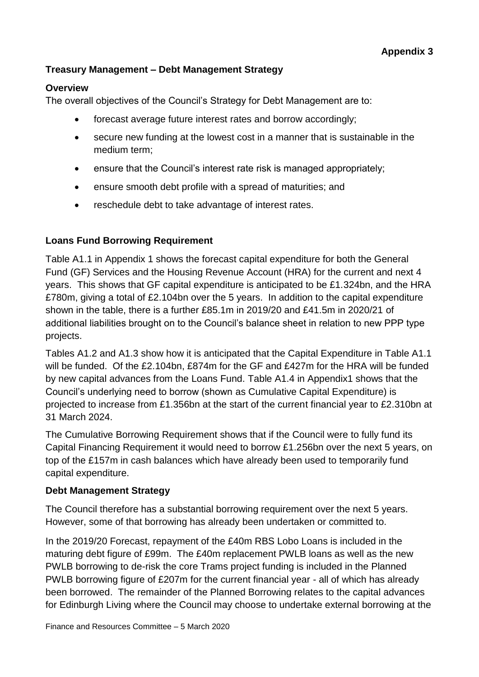## **Treasury Management – Debt Management Strategy**

## **Overview**

The overall objectives of the Council's Strategy for Debt Management are to:

- forecast average future interest rates and borrow accordingly;
- secure new funding at the lowest cost in a manner that is sustainable in the medium term;
- ensure that the Council's interest rate risk is managed appropriately;
- ensure smooth debt profile with a spread of maturities; and
- reschedule debt to take advantage of interest rates.

## **Loans Fund Borrowing Requirement**

Table A1.1 in Appendix 1 shows the forecast capital expenditure for both the General Fund (GF) Services and the Housing Revenue Account (HRA) for the current and next 4 years. This shows that GF capital expenditure is anticipated to be £1.324bn, and the HRA £780m, giving a total of £2.104bn over the 5 years. In addition to the capital expenditure shown in the table, there is a further £85.1m in 2019/20 and £41.5m in 2020/21 of additional liabilities brought on to the Council's balance sheet in relation to new PPP type projects.

Tables A1.2 and A1.3 show how it is anticipated that the Capital Expenditure in Table A1.1 will be funded. Of the £2.104bn, £874m for the GF and £427m for the HRA will be funded by new capital advances from the Loans Fund. Table A1.4 in Appendix1 shows that the Council's underlying need to borrow (shown as Cumulative Capital Expenditure) is projected to increase from £1.356bn at the start of the current financial year to £2.310bn at 31 March 2024.

The Cumulative Borrowing Requirement shows that if the Council were to fully fund its Capital Financing Requirement it would need to borrow £1.256bn over the next 5 years, on top of the £157m in cash balances which have already been used to temporarily fund capital expenditure.

## **Debt Management Strategy**

The Council therefore has a substantial borrowing requirement over the next 5 years. However, some of that borrowing has already been undertaken or committed to.

In the 2019/20 Forecast, repayment of the £40m RBS Lobo Loans is included in the maturing debt figure of £99m. The £40m replacement PWLB loans as well as the new PWLB borrowing to de-risk the core Trams project funding is included in the Planned PWLB borrowing figure of £207m for the current financial year - all of which has already been borrowed. The remainder of the Planned Borrowing relates to the capital advances for Edinburgh Living where the Council may choose to undertake external borrowing at the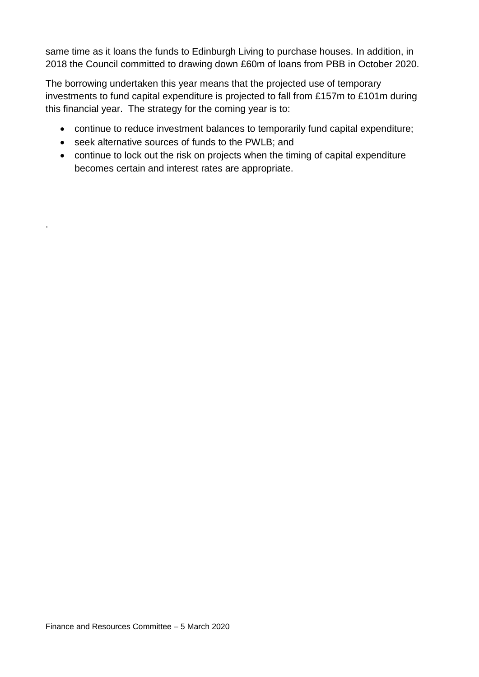same time as it loans the funds to Edinburgh Living to purchase houses. In addition, in 2018 the Council committed to drawing down £60m of loans from PBB in October 2020.

The borrowing undertaken this year means that the projected use of temporary investments to fund capital expenditure is projected to fall from £157m to £101m during this financial year. The strategy for the coming year is to:

- continue to reduce investment balances to temporarily fund capital expenditure;
- seek alternative sources of funds to the PWLB; and

.

• continue to lock out the risk on projects when the timing of capital expenditure becomes certain and interest rates are appropriate.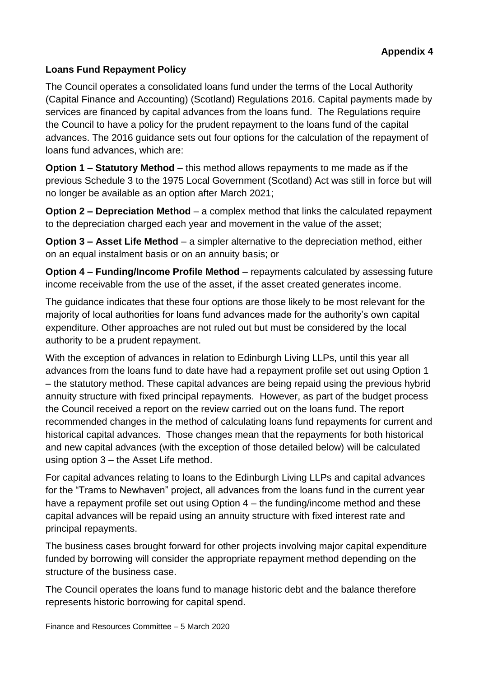## **Loans Fund Repayment Policy**

The Council operates a consolidated loans fund under the terms of the Local Authority (Capital Finance and Accounting) (Scotland) Regulations 2016. Capital payments made by services are financed by capital advances from the loans fund. The Regulations require the Council to have a policy for the prudent repayment to the loans fund of the capital advances. The 2016 guidance sets out four options for the calculation of the repayment of loans fund advances, which are:

**Option 1 – Statutory Method** – this method allows repayments to me made as if the previous Schedule 3 to the 1975 Local Government (Scotland) Act was still in force but will no longer be available as an option after March 2021;

**Option 2 – Depreciation Method** – a complex method that links the calculated repayment to the depreciation charged each year and movement in the value of the asset;

**Option 3 – Asset Life Method** – a simpler alternative to the depreciation method, either on an equal instalment basis or on an annuity basis; or

**Option 4 – Funding/Income Profile Method** – repayments calculated by assessing future income receivable from the use of the asset, if the asset created generates income.

The guidance indicates that these four options are those likely to be most relevant for the majority of local authorities for loans fund advances made for the authority's own capital expenditure. Other approaches are not ruled out but must be considered by the local authority to be a prudent repayment.

With the exception of advances in relation to Edinburgh Living LLPs, until this year all advances from the loans fund to date have had a repayment profile set out using Option 1 – the statutory method. These capital advances are being repaid using the previous hybrid annuity structure with fixed principal repayments. However, as part of the budget process the Council received a report on the review carried out on the loans fund. The report recommended changes in the method of calculating loans fund repayments for current and historical capital advances. Those changes mean that the repayments for both historical and new capital advances (with the exception of those detailed below) will be calculated using option 3 – the Asset Life method.

For capital advances relating to loans to the Edinburgh Living LLPs and capital advances for the "Trams to Newhaven" project, all advances from the loans fund in the current year have a repayment profile set out using Option 4 – the funding/income method and these capital advances will be repaid using an annuity structure with fixed interest rate and principal repayments.

The business cases brought forward for other projects involving major capital expenditure funded by borrowing will consider the appropriate repayment method depending on the structure of the business case.

The Council operates the loans fund to manage historic debt and the balance therefore represents historic borrowing for capital spend.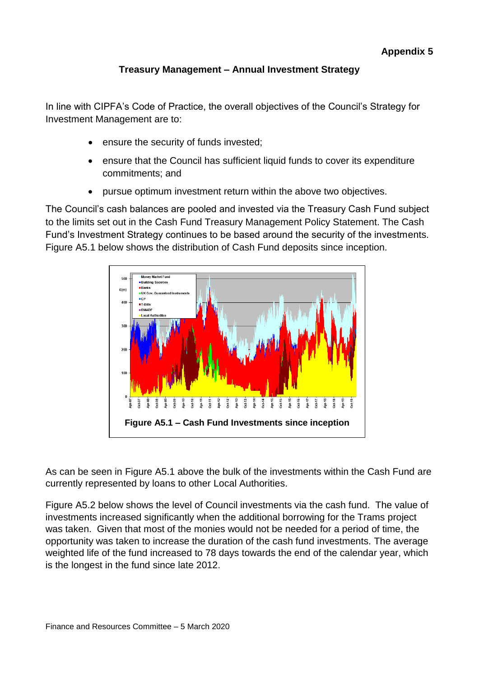## **Treasury Management – Annual Investment Strategy**

In line with CIPFA's Code of Practice, the overall objectives of the Council's Strategy for Investment Management are to:

- ensure the security of funds invested;
- ensure that the Council has sufficient liquid funds to cover its expenditure commitments; and
- pursue optimum investment return within the above two objectives.

The Council's cash balances are pooled and invested via the Treasury Cash Fund subject to the limits set out in the Cash Fund Treasury Management Policy Statement. The Cash Fund's Investment Strategy continues to be based around the security of the investments. Figure A5.1 below shows the distribution of Cash Fund deposits since inception.



As can be seen in Figure A5.1 above the bulk of the investments within the Cash Fund are currently represented by loans to other Local Authorities.

Figure A5.2 below shows the level of Council investments via the cash fund. The value of investments increased significantly when the additional borrowing for the Trams project was taken. Given that most of the monies would not be needed for a period of time, the opportunity was taken to increase the duration of the cash fund investments. The average weighted life of the fund increased to 78 days towards the end of the calendar year, which is the longest in the fund since late 2012.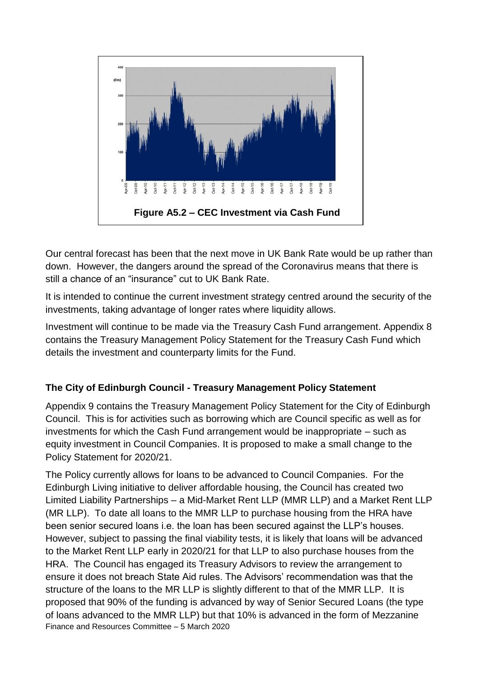

Our central forecast has been that the next move in UK Bank Rate would be up rather than down. However, the dangers around the spread of the Coronavirus means that there is still a chance of an "insurance" cut to UK Bank Rate.

It is intended to continue the current investment strategy centred around the security of the investments, taking advantage of longer rates where liquidity allows.

Investment will continue to be made via the Treasury Cash Fund arrangement. Appendix 8 contains the Treasury Management Policy Statement for the Treasury Cash Fund which details the investment and counterparty limits for the Fund.

## **The City of Edinburgh Council - Treasury Management Policy Statement**

Appendix 9 contains the Treasury Management Policy Statement for the City of Edinburgh Council. This is for activities such as borrowing which are Council specific as well as for investments for which the Cash Fund arrangement would be inappropriate – such as equity investment in Council Companies. It is proposed to make a small change to the Policy Statement for 2020/21.

Finance and Resources Committee – 5 March 2020 The Policy currently allows for loans to be advanced to Council Companies. For the Edinburgh Living initiative to deliver affordable housing, the Council has created two Limited Liability Partnerships – a Mid-Market Rent LLP (MMR LLP) and a Market Rent LLP (MR LLP). To date all loans to the MMR LLP to purchase housing from the HRA have been senior secured loans i.e. the loan has been secured against the LLP's houses. However, subject to passing the final viability tests, it is likely that loans will be advanced to the Market Rent LLP early in 2020/21 for that LLP to also purchase houses from the HRA. The Council has engaged its Treasury Advisors to review the arrangement to ensure it does not breach State Aid rules. The Advisors' recommendation was that the structure of the loans to the MR LLP is slightly different to that of the MMR LLP. It is proposed that 90% of the funding is advanced by way of Senior Secured Loans (the type of loans advanced to the MMR LLP) but that 10% is advanced in the form of Mezzanine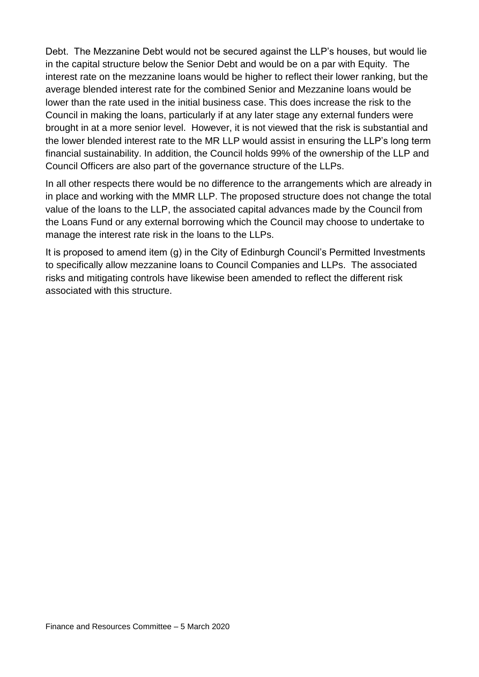Debt. The Mezzanine Debt would not be secured against the LLP's houses, but would lie in the capital structure below the Senior Debt and would be on a par with Equity. The interest rate on the mezzanine loans would be higher to reflect their lower ranking, but the average blended interest rate for the combined Senior and Mezzanine loans would be lower than the rate used in the initial business case. This does increase the risk to the Council in making the loans, particularly if at any later stage any external funders were brought in at a more senior level. However, it is not viewed that the risk is substantial and the lower blended interest rate to the MR LLP would assist in ensuring the LLP's long term financial sustainability. In addition, the Council holds 99% of the ownership of the LLP and Council Officers are also part of the governance structure of the LLPs.

In all other respects there would be no difference to the arrangements which are already in in place and working with the MMR LLP. The proposed structure does not change the total value of the loans to the LLP, the associated capital advances made by the Council from the Loans Fund or any external borrowing which the Council may choose to undertake to manage the interest rate risk in the loans to the LLPs.

It is proposed to amend item (g) in the City of Edinburgh Council's Permitted Investments to specifically allow mezzanine loans to Council Companies and LLPs. The associated risks and mitigating controls have likewise been amended to reflect the different risk associated with this structure.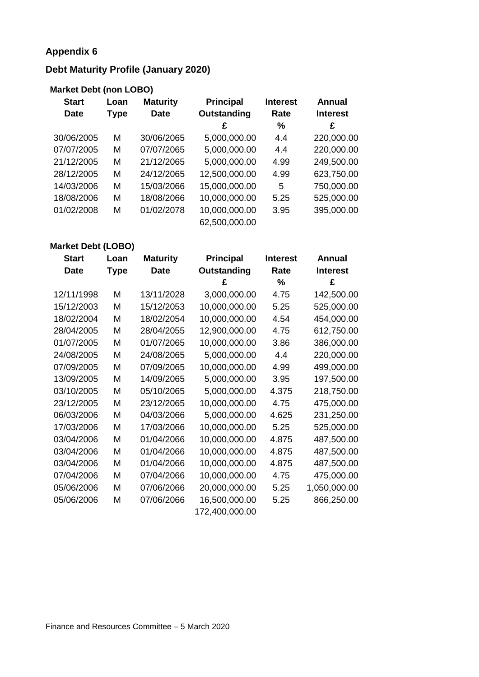## **Appendix 6**

## **Debt Maturity Profile (January 2020)**

## **Market Debt (non LOBO)**

| <b>Start</b><br><b>Date</b> | Loan<br><b>Type</b> | <b>Maturity</b><br><b>Date</b> | <b>Principal</b><br>Outstanding | <b>Interest</b><br>Rate | <b>Annual</b><br><b>Interest</b> |
|-----------------------------|---------------------|--------------------------------|---------------------------------|-------------------------|----------------------------------|
|                             |                     |                                | £                               | %                       | £                                |
| 30/06/2005                  | М                   | 30/06/2065                     | 5,000,000.00                    | 4.4                     | 220,000.00                       |
| 07/07/2005                  | Μ                   | 07/07/2065                     | 5,000,000.00                    | 4.4                     | 220,000.00                       |
| 21/12/2005                  | М                   | 21/12/2065                     | 5,000,000.00                    | 4.99                    | 249,500.00                       |
| 28/12/2005                  | М                   | 24/12/2065                     | 12,500,000.00                   | 4.99                    | 623,750.00                       |
| 14/03/2006                  | М                   | 15/03/2066                     | 15,000,000.00                   | 5                       | 750,000.00                       |
| 18/08/2006                  | M                   | 18/08/2066                     | 10,000,000.00                   | 5.25                    | 525,000.00                       |
| 01/02/2008                  | Μ                   | 01/02/2078                     | 10,000,000.00                   | 3.95                    | 395,000.00                       |
|                             |                     |                                | 62,500,000.00                   |                         |                                  |

## **Market Debt (LOBO)**

| <b>Start</b> | Loan | <b>Maturity</b> | <b>Principal</b> | <b>Interest</b> | Annual          |
|--------------|------|-----------------|------------------|-----------------|-----------------|
| Date         | Type | <b>Date</b>     | Outstanding      | Rate            | <b>Interest</b> |
|              |      |                 | £                | %               | £               |
| 12/11/1998   | M    | 13/11/2028      | 3,000,000.00     | 4.75            | 142,500.00      |
| 15/12/2003   | M    | 15/12/2053      | 10,000,000.00    | 5.25            | 525,000.00      |
| 18/02/2004   | M    | 18/02/2054      | 10,000,000.00    | 4.54            | 454,000.00      |
| 28/04/2005   | M    | 28/04/2055      | 12,900,000.00    | 4.75            | 612,750.00      |
| 01/07/2005   | М    | 01/07/2065      | 10,000,000.00    | 3.86            | 386,000.00      |
| 24/08/2005   | M    | 24/08/2065      | 5,000,000.00     | 4.4             | 220,000.00      |
| 07/09/2005   | M    | 07/09/2065      | 10,000,000.00    | 4.99            | 499,000.00      |
| 13/09/2005   | M    | 14/09/2065      | 5,000,000.00     | 3.95            | 197,500.00      |
| 03/10/2005   | M    | 05/10/2065      | 5,000,000.00     | 4.375           | 218,750.00      |
| 23/12/2005   | M    | 23/12/2065      | 10,000,000.00    | 4.75            | 475,000.00      |
| 06/03/2006   | M    | 04/03/2066      | 5,000,000.00     | 4.625           | 231,250.00      |
| 17/03/2006   | M    | 17/03/2066      | 10,000,000.00    | 5.25            | 525,000.00      |
| 03/04/2006   | M    | 01/04/2066      | 10,000,000.00    | 4.875           | 487,500.00      |
| 03/04/2006   | M    | 01/04/2066      | 10,000,000.00    | 4.875           | 487,500.00      |
| 03/04/2006   | M    | 01/04/2066      | 10,000,000.00    | 4.875           | 487,500.00      |
| 07/04/2006   | M    | 07/04/2066      | 10,000,000.00    | 4.75            | 475,000.00      |
| 05/06/2006   | M    | 07/06/2066      | 20,000,000.00    | 5.25            | 1,050,000.00    |
| 05/06/2006   | М    | 07/06/2066      | 16,500,000.00    | 5.25            | 866,250.00      |
|              |      |                 | 172,400,000.00   |                 |                 |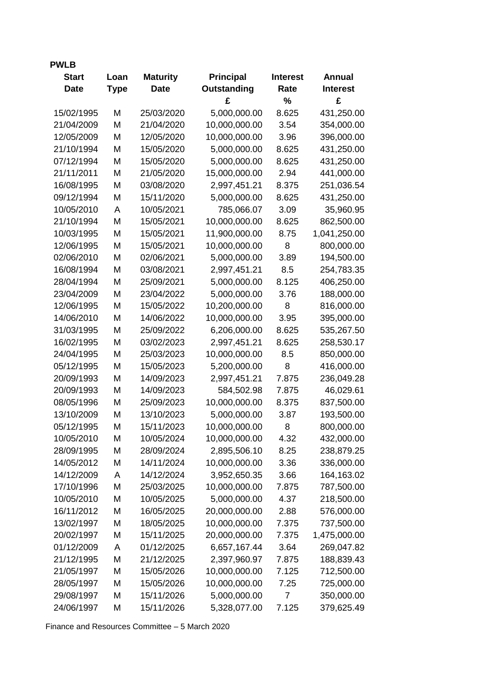| <b>PWLB</b>  |             |                 |                  |                 |                 |
|--------------|-------------|-----------------|------------------|-----------------|-----------------|
| <b>Start</b> | Loan        | <b>Maturity</b> | <b>Principal</b> | <b>Interest</b> | <b>Annual</b>   |
| <b>Date</b>  | <b>Type</b> | <b>Date</b>     | Outstanding      | Rate            | <b>Interest</b> |
|              |             |                 | £                | %               | £               |
| 15/02/1995   | M           | 25/03/2020      | 5,000,000.00     | 8.625           | 431,250.00      |
| 21/04/2009   | M           | 21/04/2020      | 10,000,000.00    | 3.54            | 354,000.00      |
| 12/05/2009   | M           | 12/05/2020      | 10,000,000.00    | 3.96            | 396,000.00      |
| 21/10/1994   | M           | 15/05/2020      | 5,000,000.00     | 8.625           | 431,250.00      |
| 07/12/1994   | M           | 15/05/2020      | 5,000,000.00     | 8.625           | 431,250.00      |
| 21/11/2011   | M           | 21/05/2020      | 15,000,000.00    | 2.94            | 441,000.00      |
| 16/08/1995   | M           | 03/08/2020      | 2,997,451.21     | 8.375           | 251,036.54      |
| 09/12/1994   | M           | 15/11/2020      | 5,000,000.00     | 8.625           | 431,250.00      |
| 10/05/2010   | A           | 10/05/2021      | 785,066.07       | 3.09            | 35,960.95       |
| 21/10/1994   | M           | 15/05/2021      | 10,000,000.00    | 8.625           | 862,500.00      |
| 10/03/1995   | M           | 15/05/2021      | 11,900,000.00    | 8.75            | 1,041,250.00    |
| 12/06/1995   | M           | 15/05/2021      | 10,000,000.00    | 8               | 800,000.00      |
| 02/06/2010   | M           | 02/06/2021      | 5,000,000.00     | 3.89            | 194,500.00      |
| 16/08/1994   | M           | 03/08/2021      | 2,997,451.21     | 8.5             | 254,783.35      |
| 28/04/1994   | M           | 25/09/2021      | 5,000,000.00     | 8.125           | 406,250.00      |
| 23/04/2009   | M           | 23/04/2022      | 5,000,000.00     | 3.76            | 188,000.00      |
| 12/06/1995   | M           | 15/05/2022      | 10,200,000.00    | 8               | 816,000.00      |
| 14/06/2010   | M           | 14/06/2022      | 10,000,000.00    | 3.95            | 395,000.00      |
| 31/03/1995   | M           | 25/09/2022      | 6,206,000.00     | 8.625           | 535,267.50      |
| 16/02/1995   | M           | 03/02/2023      | 2,997,451.21     | 8.625           | 258,530.17      |
| 24/04/1995   | M           | 25/03/2023      | 10,000,000.00    | 8.5             | 850,000.00      |
| 05/12/1995   | M           | 15/05/2023      | 5,200,000.00     | 8               | 416,000.00      |
| 20/09/1993   | M           | 14/09/2023      | 2,997,451.21     | 7.875           | 236,049.28      |
| 20/09/1993   | M           | 14/09/2023      | 584,502.98       | 7.875           | 46,029.61       |
| 08/05/1996   | M           | 25/09/2023      | 10,000,000.00    | 8.375           | 837,500.00      |
| 13/10/2009   | M           | 13/10/2023      | 5,000,000.00     | 3.87            | 193,500.00      |
| 05/12/1995   | M           | 15/11/2023      | 10,000,000.00    | 8               | 800,000.00      |
| 10/05/2010   | M           | 10/05/2024      | 10,000,000.00    | 4.32            | 432,000.00      |
| 28/09/1995   | M           | 28/09/2024      | 2,895,506.10     | 8.25            | 238,879.25      |
| 14/05/2012   | M           | 14/11/2024      | 10,000,000.00    | 3.36            | 336,000.00      |
| 14/12/2009   | A           | 14/12/2024      | 3,952,650.35     | 3.66            | 164,163.02      |
| 17/10/1996   | M           | 25/03/2025      | 10,000,000.00    | 7.875           | 787,500.00      |
| 10/05/2010   | M           | 10/05/2025      | 5,000,000.00     | 4.37            | 218,500.00      |
| 16/11/2012   | M           | 16/05/2025      | 20,000,000.00    | 2.88            | 576,000.00      |
| 13/02/1997   | M           | 18/05/2025      | 10,000,000.00    | 7.375           | 737,500.00      |
| 20/02/1997   | M           | 15/11/2025      | 20,000,000.00    | 7.375           | 1,475,000.00    |
| 01/12/2009   | A           | 01/12/2025      | 6,657,167.44     | 3.64            | 269,047.82      |
| 21/12/1995   | M           | 21/12/2025      | 2,397,960.97     | 7.875           | 188,839.43      |
| 21/05/1997   | M           | 15/05/2026      | 10,000,000.00    | 7.125           | 712,500.00      |
| 28/05/1997   | M           | 15/05/2026      | 10,000,000.00    | 7.25            | 725,000.00      |
| 29/08/1997   | M           | 15/11/2026      | 5,000,000.00     | 7               | 350,000.00      |
| 24/06/1997   | M           | 15/11/2026      | 5,328,077.00     | 7.125           | 379,625.49      |

Finance and Resources Committee – 5 March 2020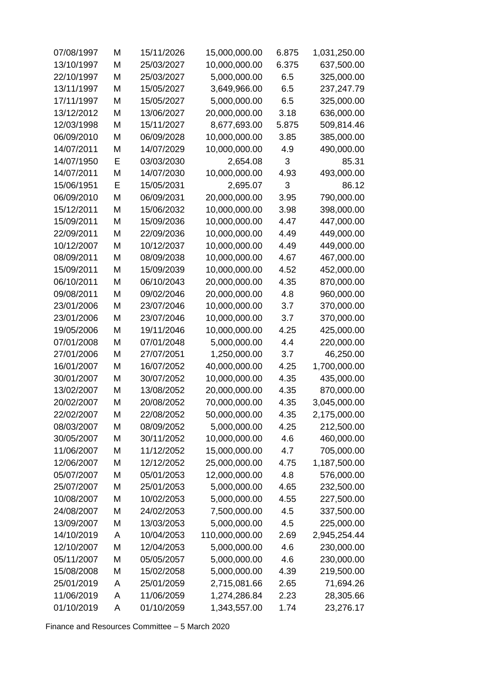| 07/08/1997 | М | 15/11/2026 | 15,000,000.00  | 6.875 | 1,031,250.00 |
|------------|---|------------|----------------|-------|--------------|
| 13/10/1997 | M | 25/03/2027 | 10,000,000.00  | 6.375 | 637,500.00   |
| 22/10/1997 | М | 25/03/2027 | 5,000,000.00   | 6.5   | 325,000.00   |
| 13/11/1997 | M | 15/05/2027 | 3,649,966.00   | 6.5   | 237,247.79   |
| 17/11/1997 | М | 15/05/2027 | 5,000,000.00   | 6.5   | 325,000.00   |
| 13/12/2012 | М | 13/06/2027 | 20,000,000.00  | 3.18  | 636,000.00   |
| 12/03/1998 | М | 15/11/2027 | 8,677,693.00   | 5.875 | 509,814.46   |
| 06/09/2010 | M | 06/09/2028 | 10,000,000.00  | 3.85  | 385,000.00   |
| 14/07/2011 | М | 14/07/2029 | 10,000,000.00  | 4.9   | 490,000.00   |
| 14/07/1950 | E | 03/03/2030 | 2,654.08       | 3     | 85.31        |
| 14/07/2011 | М | 14/07/2030 | 10,000,000.00  | 4.93  | 493,000.00   |
| 15/06/1951 | E | 15/05/2031 | 2,695.07       | 3     | 86.12        |
| 06/09/2010 | М | 06/09/2031 | 20,000,000.00  | 3.95  | 790,000.00   |
| 15/12/2011 | M | 15/06/2032 | 10,000,000.00  | 3.98  | 398,000.00   |
| 15/09/2011 | М | 15/09/2036 | 10,000,000.00  | 4.47  | 447,000.00   |
| 22/09/2011 | М | 22/09/2036 | 10,000,000.00  | 4.49  | 449,000.00   |
| 10/12/2007 | М | 10/12/2037 | 10,000,000.00  | 4.49  | 449,000.00   |
| 08/09/2011 | М | 08/09/2038 | 10,000,000.00  | 4.67  | 467,000.00   |
| 15/09/2011 | М | 15/09/2039 | 10,000,000.00  | 4.52  | 452,000.00   |
| 06/10/2011 | M | 06/10/2043 | 20,000,000.00  | 4.35  | 870,000.00   |
| 09/08/2011 | М | 09/02/2046 | 20,000,000.00  | 4.8   | 960,000.00   |
| 23/01/2006 | М | 23/07/2046 | 10,000,000.00  | 3.7   | 370,000.00   |
| 23/01/2006 | М | 23/07/2046 | 10,000,000.00  | 3.7   | 370,000.00   |
| 19/05/2006 | M | 19/11/2046 | 10,000,000.00  | 4.25  | 425,000.00   |
| 07/01/2008 | М | 07/01/2048 | 5,000,000.00   | 4.4   | 220,000.00   |
| 27/01/2006 | М | 27/07/2051 | 1,250,000.00   | 3.7   | 46,250.00    |
| 16/01/2007 | М | 16/07/2052 | 40,000,000.00  | 4.25  | 1,700,000.00 |
| 30/01/2007 | М | 30/07/2052 | 10,000,000.00  | 4.35  | 435,000.00   |
| 13/02/2007 | М | 13/08/2052 | 20,000,000.00  | 4.35  | 870,000.00   |
| 20/02/2007 | M | 20/08/2052 | 70,000,000.00  | 4.35  | 3,045,000.00 |
| 22/02/2007 | Μ | 22/08/2052 | 50,000,000.00  | 4.35  | 2,175,000.00 |
| 08/03/2007 | M | 08/09/2052 | 5,000,000.00   | 4.25  | 212,500.00   |
| 30/05/2007 | M | 30/11/2052 | 10,000,000.00  | 4.6   | 460,000.00   |
| 11/06/2007 | M | 11/12/2052 | 15,000,000.00  | 4.7   | 705,000.00   |
| 12/06/2007 | Μ | 12/12/2052 | 25,000,000.00  | 4.75  | 1,187,500.00 |
| 05/07/2007 | M | 05/01/2053 | 12,000,000.00  | 4.8   | 576,000.00   |
| 25/07/2007 | M | 25/01/2053 | 5,000,000.00   | 4.65  | 232,500.00   |
| 10/08/2007 | M | 10/02/2053 | 5,000,000.00   | 4.55  | 227,500.00   |
| 24/08/2007 | Μ | 24/02/2053 | 7,500,000.00   | 4.5   | 337,500.00   |
| 13/09/2007 | M | 13/03/2053 | 5,000,000.00   | 4.5   | 225,000.00   |
| 14/10/2019 | A | 10/04/2053 | 110,000,000.00 | 2.69  | 2,945,254.44 |
| 12/10/2007 | M | 12/04/2053 | 5,000,000.00   | 4.6   | 230,000.00   |
| 05/11/2007 | Μ | 05/05/2057 | 5,000,000.00   | 4.6   | 230,000.00   |
| 15/08/2008 | M | 15/02/2058 | 5,000,000.00   | 4.39  | 219,500.00   |
| 25/01/2019 | A | 25/01/2059 | 2,715,081.66   | 2.65  | 71,694.26    |
| 11/06/2019 | А | 11/06/2059 | 1,274,286.84   | 2.23  | 28,305.66    |
| 01/10/2019 | Α | 01/10/2059 | 1,343,557.00   | 1.74  | 23,276.17    |

Finance and Resources Committee – 5 March 2020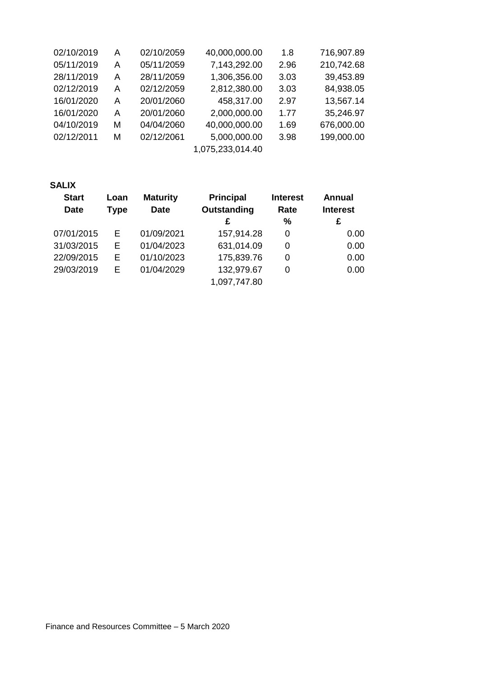|            | А |            |                  |      |            |
|------------|---|------------|------------------|------|------------|
| 05/11/2019 |   | 05/11/2059 | 7,143,292.00     | 2.96 | 210,742.68 |
| 28/11/2019 | А | 28/11/2059 | 1,306,356.00     | 3.03 | 39,453.89  |
| 02/12/2019 | А | 02/12/2059 | 2,812,380.00     | 3.03 | 84,938.05  |
| 16/01/2020 | А | 20/01/2060 | 458,317.00       | 2.97 | 13,567.14  |
| 16/01/2020 | А | 20/01/2060 | 2,000,000.00     | 1.77 | 35,246.97  |
| 04/10/2019 | М | 04/04/2060 | 40,000,000.00    | 1.69 | 676,000.00 |
| 02/12/2011 | М | 02/12/2061 | 5,000,000.00     | 3.98 | 199,000.00 |
|            |   |            | 1,075,233,014.40 |      |            |

### **SALIX**

| <b>Start</b> | Loan | <b>Maturity</b> | <b>Principal</b> | <b>Interest</b> | <b>Annual</b>   |
|--------------|------|-----------------|------------------|-----------------|-----------------|
| <b>Date</b>  | Type | <b>Date</b>     | Outstanding      | Rate            | <b>Interest</b> |
|              |      |                 | £                | %               | £               |
| 07/01/2015   | F    | 01/09/2021      | 157,914.28       | 0               | 0.00            |
| 31/03/2015   | Е    | 01/04/2023      | 631,014.09       | 0               | 0.00            |
| 22/09/2015   | Е    | 01/10/2023      | 175,839.76       | 0               | 0.00            |
| 29/03/2019   | F    | 01/04/2029      | 132,979.67       | 0               | 0.00            |
|              |      |                 | 1,097,747.80     |                 |                 |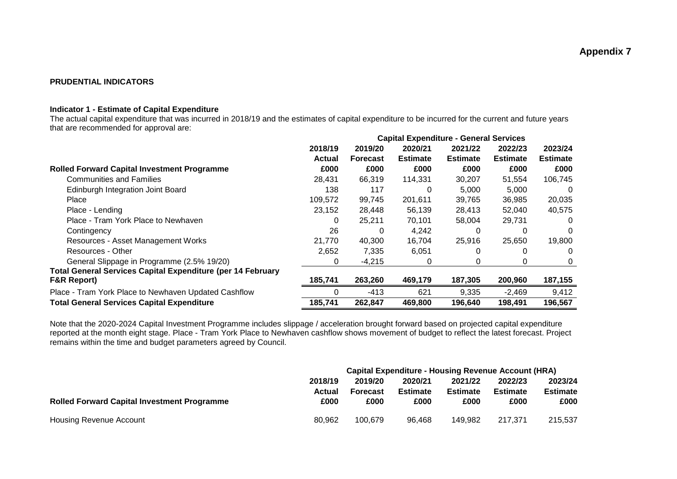### **PRUDENTIAL INDICATORS**

### **Indicator 1 - Estimate of Capital Expenditure**

The actual capital expenditure that was incurred in 2018/19 and the estimates of capital expenditure to be incurred for the current and future years that are recommended for approval are:

|                                                                    |               |                 | <b>Capital Expenditure - General Services</b> |                 |                 |                 |
|--------------------------------------------------------------------|---------------|-----------------|-----------------------------------------------|-----------------|-----------------|-----------------|
|                                                                    | 2018/19       | 2019/20         | 2020/21                                       | 2021/22         | 2022/23         | 2023/24         |
|                                                                    | <b>Actual</b> | <b>Forecast</b> | <b>Estimate</b>                               | <b>Estimate</b> | <b>Estimate</b> | <b>Estimate</b> |
| <b>Rolled Forward Capital Investment Programme</b>                 | £000          | £000            | £000                                          | £000            | £000            | £000            |
| <b>Communities and Families</b>                                    | 28,431        | 66,319          | 114,331                                       | 30,207          | 51,554          | 106,745         |
| Edinburgh Integration Joint Board                                  | 138           | 117             |                                               | 5,000           | 5,000           | $\Omega$        |
| Place                                                              | 109,572       | 99,745          | 201.611                                       | 39,765          | 36,985          | 20,035          |
| Place - Lending                                                    | 23,152        | 28,448          | 56,139                                        | 28,413          | 52,040          | 40,575          |
| Place - Tram York Place to Newhaven                                | 0             | 25,211          | 70,101                                        | 58,004          | 29,731          | 0               |
| Contingency                                                        | 26            |                 | 4,242                                         | 0               |                 | 0               |
| Resources - Asset Management Works                                 | 21,770        | 40,300          | 16,704                                        | 25,916          | 25,650          | 19,800          |
| Resources - Other                                                  | 2,652         | 7,335           | 6,051                                         | 0               | 0               | $\Omega$        |
| General Slippage in Programme (2.5% 19/20)                         | 0             | $-4,215$        |                                               | 0               |                 | 0               |
| <b>Total General Services Capital Expenditure (per 14 February</b> |               |                 |                                               |                 |                 |                 |
| <b>F&amp;R Report)</b>                                             | 185,741       | 263,260         | 469,179                                       | 187,305         | 200,960         | 187,155         |
| Place - Tram York Place to Newhaven Updated Cashflow               | 0             | $-413$          | 621                                           | 9,335           | $-2,469$        | 9,412           |
| <b>Total General Services Capital Expenditure</b>                  | 185,741       | 262,847         | 469,800                                       | 196,640         | 198,491         | 196,567         |

Note that the 2020-2024 Capital Investment Programme includes slippage / acceleration brought forward based on projected capital expenditure reported at the month eight stage. Place - Tram York Place to Newhaven cashflow shows movement of budget to reflect the latest forecast. Project remains within the time and budget parameters agreed by Council.

|                                                    | <b>Capital Expenditure - Housing Revenue Account (HRA)</b> |                 |                 |                 |                 |                 |
|----------------------------------------------------|------------------------------------------------------------|-----------------|-----------------|-----------------|-----------------|-----------------|
|                                                    | 2018/19                                                    | 2019/20         | 2020/21         | 2021/22         | 2022/23         | 2023/24         |
|                                                    | Actual                                                     | <b>Forecast</b> | <b>Estimate</b> | <b>Estimate</b> | <b>Estimate</b> | <b>Estimate</b> |
| <b>Rolled Forward Capital Investment Programme</b> | £000                                                       | £000            | £000            | £000            | £000            | £000            |
|                                                    |                                                            |                 |                 |                 |                 |                 |
| <b>Housing Revenue Account</b>                     | 80.962                                                     | 100.679         | 96.468          | 149.982         | 217.371         | 215.537         |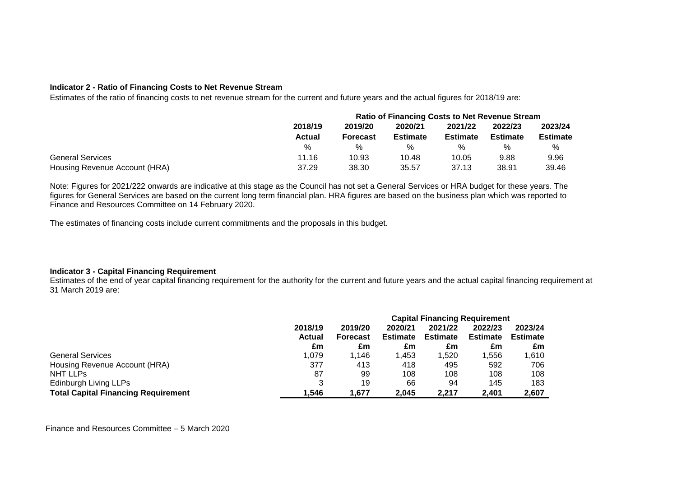### **Indicator 2 - Ratio of Financing Costs to Net Revenue Stream**

Estimates of the ratio of financing costs to net revenue stream for the current and future years and the actual figures for 2018/19 are:

|                               | <b>Ratio of Financing Costs to Net Revenue Stream</b> |                                      |                            |                            |                            |                 |
|-------------------------------|-------------------------------------------------------|--------------------------------------|----------------------------|----------------------------|----------------------------|-----------------|
|                               | 2018/19                                               | 2019/20<br>Actual<br><b>Forecast</b> | 2020/21<br><b>Estimate</b> | 2021/22<br><b>Estimate</b> | 2022/23<br><b>Estimate</b> | 2023/24         |
|                               |                                                       |                                      |                            |                            |                            | <b>Estimate</b> |
|                               | %                                                     | %                                    | %                          | %                          | %                          | %               |
| <b>General Services</b>       | 11.16                                                 | 10.93                                | 10.48                      | 10.05                      | 9.88                       | 9.96            |
| Housing Revenue Account (HRA) | 37.29                                                 | 38.30                                | 35.57                      | 37.13                      | 38.91                      | 39.46           |

Note: Figures for 2021/222 onwards are indicative at this stage as the Council has not set a General Services or HRA budget for these years. The figures for General Services are based on the current long term financial plan. HRA figures are based on the business plan which was reported to Finance and Resources Committee on 14 February 2020.

The estimates of financing costs include current commitments and the proposals in this budget.

### **Indicator 3 - Capital Financing Requirement**

Estimates of the end of year capital financing requirement for the authority for the current and future years and the actual capital financing requirement at 31 March 2019 are:

|                                            | <b>Capital Financing Requirement</b> |                 |                 |                 |                 |                 |
|--------------------------------------------|--------------------------------------|-----------------|-----------------|-----------------|-----------------|-----------------|
|                                            | 2018/19                              | 2019/20         | 2020/21         | 2021/22         | 2022/23         | 2023/24         |
|                                            | Actual                               | <b>Forecast</b> | <b>Estimate</b> | <b>Estimate</b> | <b>Estimate</b> | <b>Estimate</b> |
|                                            | £m                                   | £m              | £m              | £m              | £m              | £m              |
| <b>General Services</b>                    | 1.079                                | 1.146           | 1.453           | ∣.520           | 1,556           | 1,610           |
| Housing Revenue Account (HRA)              | 377                                  | 413             | 418             | 495             | 592             | 706             |
| NHT LLPs                                   | 87                                   | 99              | 108             | 108             | 108             | 108             |
| Edinburgh Living LLPs                      | 3                                    | 19              | 66              | 94              | 145             | 183             |
| <b>Total Capital Financing Requirement</b> | 546.                                 | 1.677           | 2.045           | 2.217           | 2.401           | 2,607           |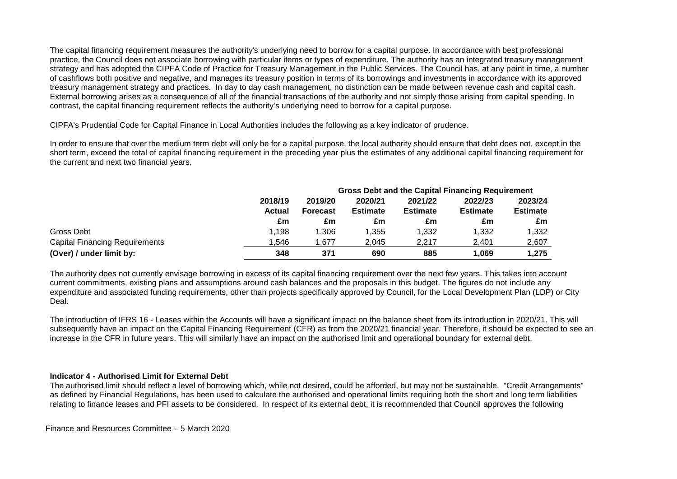The capital financing requirement measures the authority's underlying need to borrow for a capital purpose. In accordance with best professional practice, the Council does not associate borrowing with particular items or types of expenditure. The authority has an integrated treasury management strategy and has adopted the CIPFA Code of Practice for Treasury Management in the Public Services. The Council has, at any point in time, a number of cashflows both positive and negative, and manages its treasury position in terms of its borrowings and investments in accordance with its approved treasury management strategy and practices. In day to day cash management, no distinction can be made between revenue cash and capital cash. External borrowing arises as a consequence of all of the financial transactions of the authority and not simply those arising from capital spending. In contrast, the capital financing requirement reflects the authority's underlying need to borrow for a capital purpose.

CIPFA's Prudential Code for Capital Finance in Local Authorities includes the following as a key indicator of prudence.

In order to ensure that over the medium term debt will only be for a capital purpose, the local authority should ensure that debt does not, except in the short term, exceed the total of capital financing requirement in the preceding year plus the estimates of any additional capital financing requirement for the current and next two financial years.

|                                       |                          |       |       |                            | Gross Debt and the Capital Financing Requirement |                            |                            |                            |                            |
|---------------------------------------|--------------------------|-------|-------|----------------------------|--------------------------------------------------|----------------------------|----------------------------|----------------------------|----------------------------|
|                                       | 2018/19<br><b>Actual</b> |       |       | 2019/20<br><b>Forecast</b> |                                                  | 2020/21<br><b>Estimate</b> | 2021/22<br><b>Estimate</b> | 2022/23<br><b>Estimate</b> | 2023/24<br><b>Estimate</b> |
|                                       | £m                       | £m    | £m    | £m                         | £m                                               | £m                         |                            |                            |                            |
| Gross Debt                            | 1.198                    | 0.306 | 1.355 | 1.332                      | 1.332                                            | 1,332                      |                            |                            |                            |
| <b>Capital Financing Requirements</b> | 1.546                    | .677  | 2.045 | 2.217                      | 2.401                                            | 2,607                      |                            |                            |                            |
| (Over) / under limit by:              | 348                      | 371   | 690   | 885                        | 1.069                                            | 1,275                      |                            |                            |                            |

The authority does not currently envisage borrowing in excess of its capital financing requirement over the next few years. This takes into account current commitments, existing plans and assumptions around cash balances and the proposals in this budget. The figures do not include any expenditure and associated funding requirements, other than projects specifically approved by Council, for the Local Development Plan (LDP) or City Deal.

The introduction of IFRS 16 - Leases within the Accounts will have a significant impact on the balance sheet from its introduction in 2020/21. This will subsequently have an impact on the Capital Financing Requirement (CFR) as from the 2020/21 financial year. Therefore, it should be expected to see an increase in the CFR in future years. This will similarly have an impact on the authorised limit and operational boundary for external debt.

### **Indicator 4 - Authorised Limit for External Debt**

The authorised limit should reflect a level of borrowing which, while not desired, could be afforded, but may not be sustainable. "Credit Arrangements" as defined by Financial Regulations, has been used to calculate the authorised and operational limits requiring both the short and long term liabilities relating to finance leases and PFI assets to be considered. In respect of its external debt, it is recommended that Council approves the following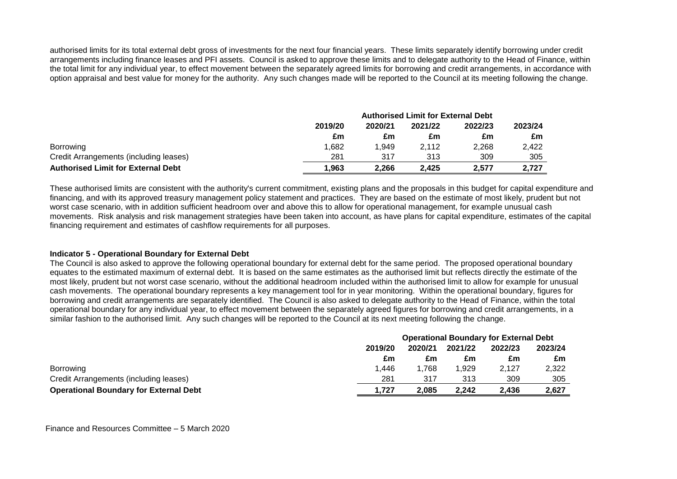authorised limits for its total external debt gross of investments for the next four financial years. These limits separately identify borrowing under credit arrangements including finance leases and PFI assets. Council is asked to approve these limits and to delegate authority to the Head of Finance, within the total limit for any individual year, to effect movement between the separately agreed limits for borrowing and credit arrangements, in accordance with option appraisal and best value for money for the authority. Any such changes made will be reported to the Council at its meeting following the change.

|                                           | <b>Authorised Limit for External Debt</b> |         |         |       |       |
|-------------------------------------------|-------------------------------------------|---------|---------|-------|-------|
|                                           | 2019/20                                   | 2022/23 | 2023/24 |       |       |
|                                           | £m                                        | £m      | £m      | £m    | £m    |
| Borrowing                                 | 1.682                                     | 1.949   | 2.112   | 2.268 | 2,422 |
| Credit Arrangements (including leases)    | 281                                       | 317     | 313     | 309   | 305   |
| <b>Authorised Limit for External Debt</b> | 1.963                                     | 2.266   | 2.425   | 2.577 | 2.727 |

These authorised limits are consistent with the authority's current commitment, existing plans and the proposals in this budget for capital expenditure and financing, and with its approved treasury management policy statement and practices. They are based on the estimate of most likely, prudent but not worst case scenario, with in addition sufficient headroom over and above this to allow for operational management, for example unusual cash movements. Risk analysis and risk management strategies have been taken into account, as have plans for capital expenditure, estimates of the capital financing requirement and estimates of cashflow requirements for all purposes.

### **Indicator 5 - Operational Boundary for External Debt**

The Council is also asked to approve the following operational boundary for external debt for the same period. The proposed operational boundary equates to the estimated maximum of external debt. It is based on the same estimates as the authorised limit but reflects directly the estimate of the most likely, prudent but not worst case scenario, without the additional headroom included within the authorised limit to allow for example for unusual cash movements. The operational boundary represents a key management tool for in year monitoring. Within the operational boundary, figures for borrowing and credit arrangements are separately identified. The Council is also asked to delegate authority to the Head of Finance, within the total operational boundary for any individual year, to effect movement between the separately agreed figures for borrowing and credit arrangements, in a similar fashion to the authorised limit. Any such changes will be reported to the Council at its next meeting following the change.

|                                               | <b>Operational Boundary for External Debt</b> |         |         |         |         |
|-----------------------------------------------|-----------------------------------------------|---------|---------|---------|---------|
|                                               | 2019/20                                       | 2020/21 | 2021/22 | 2022/23 | 2023/24 |
|                                               | £m                                            | £m      | £m      | £m      | £m      |
| Borrowing                                     | 1.446                                         | 1.768   | 1.929   | 2.127   | 2,322   |
| Credit Arrangements (including leases)        | 281                                           | 317     | 313     | 309     | 305     |
| <b>Operational Boundary for External Debt</b> | 1.727                                         | 2.085   | 2.242   | 2.436   | 2.627   |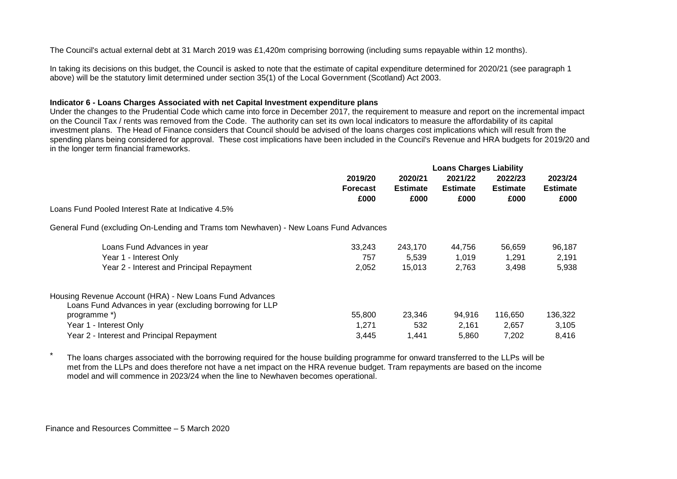The Council's actual external debt at 31 March 2019 was £1,420m comprising borrowing (including sums repayable within 12 months).

In taking its decisions on this budget, the Council is asked to note that the estimate of capital expenditure determined for 2020/21 (see paragraph 1 above) will be the statutory limit determined under section 35(1) of the Local Government (Scotland) Act 2003.

### **Indicator 6 - Loans Charges Associated with net Capital Investment expenditure plans**

Under the changes to the Prudential Code which came into force in December 2017, the requirement to measure and report on the incremental impact on the Council Tax / rents was removed from the Code. The authority can set its own local indicators to measure the affordability of its capital investment plans. The Head of Finance considers that Council should be advised of the loans charges cost implications which will result from the spending plans being considered for approval. These cost implications have been included in the Council's Revenue and HRA budgets for 2019/20 and in the longer term financial frameworks.

|                                                                                                                     | <b>Loans Charges Liability</b> |                 |                 |                 |                 |  |  |
|---------------------------------------------------------------------------------------------------------------------|--------------------------------|-----------------|-----------------|-----------------|-----------------|--|--|
|                                                                                                                     | 2019/20                        | 2020/21         | 2021/22         | 2022/23         | 2023/24         |  |  |
|                                                                                                                     | <b>Forecast</b>                | <b>Estimate</b> | <b>Estimate</b> | <b>Estimate</b> | <b>Estimate</b> |  |  |
|                                                                                                                     | £000                           | £000            | £000            | £000            | £000            |  |  |
| Loans Fund Pooled Interest Rate at Indicative 4.5%                                                                  |                                |                 |                 |                 |                 |  |  |
| General Fund (excluding On-Lending and Trams tom Newhaven) - New Loans Fund Advances                                |                                |                 |                 |                 |                 |  |  |
| Loans Fund Advances in year                                                                                         | 33,243                         | 243,170         | 44,756          | 56,659          | 96,187          |  |  |
| Year 1 - Interest Only                                                                                              | 757                            | 5,539           | 1,019           | 1,291           | 2,191           |  |  |
| Year 2 - Interest and Principal Repayment                                                                           | 2,052                          | 15,013          | 2,763           | 3,498           | 5,938           |  |  |
| Housing Revenue Account (HRA) - New Loans Fund Advances<br>Loans Fund Advances in year (excluding borrowing for LLP |                                |                 |                 |                 |                 |  |  |
| programme *)                                                                                                        | 55,800                         | 23,346          | 94,916          | 116,650         | 136,322         |  |  |
| Year 1 - Interest Only                                                                                              | 1,271                          | 532             | 2,161           | 2,657           | 3,105           |  |  |
| Year 2 - Interest and Principal Repayment                                                                           | 3,445                          | 1,441           | 5,860           | 7,202           | 8,416           |  |  |

The loans charges associated with the borrowing required for the house building programme for onward transferred to the LLPs will be met from the LLPs and does therefore not have a net impact on the HRA revenue budget. Tram repayments are based on the income model and will commence in 2023/24 when the line to Newhaven becomes operational.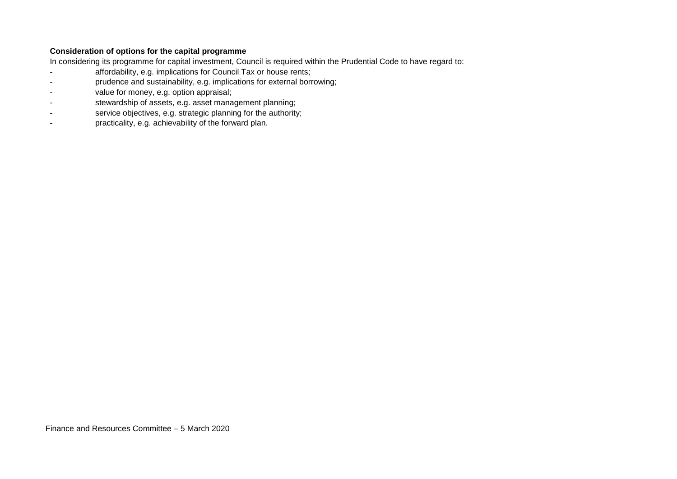### **Consideration of options for the capital programme**

In considering its programme for capital investment, Council is required within the Prudential Code to have regard to:

- affordability, e.g. implications for Council Tax or house rents;
- prudence and sustainability, e.g. implications for external borrowing;
- value for money, e.g. option appraisal;
- stewardship of assets, e.g. asset management planning;
- service objectives, e.g. strategic planning for the authority;
- practicality, e.g. achievability of the forward plan.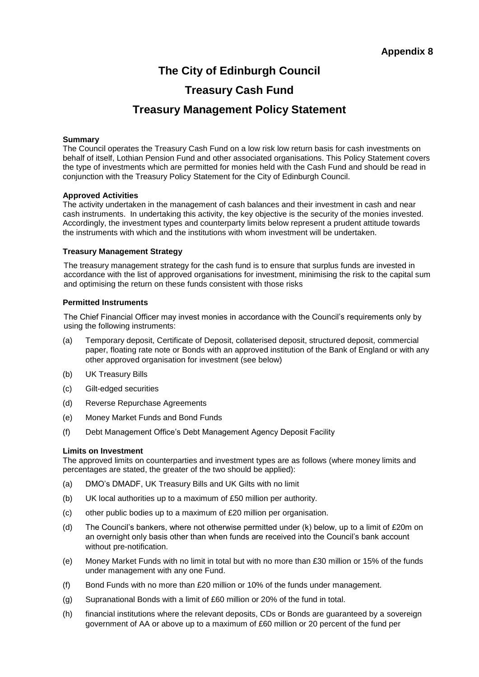## **The City of Edinburgh Council**

## **Treasury Cash Fund**

## **Treasury Management Policy Statement**

### **Summary**

The Council operates the Treasury Cash Fund on a low risk low return basis for cash investments on behalf of itself, Lothian Pension Fund and other associated organisations. This Policy Statement covers the type of investments which are permitted for monies held with the Cash Fund and should be read in conjunction with the Treasury Policy Statement for the City of Edinburgh Council.

#### **Approved Activities**

The activity undertaken in the management of cash balances and their investment in cash and near cash instruments. In undertaking this activity, the key objective is the security of the monies invested. Accordingly, the investment types and counterparty limits below represent a prudent attitude towards the instruments with which and the institutions with whom investment will be undertaken.

### **Treasury Management Strategy**

The treasury management strategy for the cash fund is to ensure that surplus funds are invested in accordance with the list of approved organisations for investment, minimising the risk to the capital sum and optimising the return on these funds consistent with those risks

### **Permitted Instruments**

The Chief Financial Officer may invest monies in accordance with the Council's requirements only by using the following instruments:

- (a) Temporary deposit, Certificate of Deposit, collaterised deposit, structured deposit, commercial paper, floating rate note or Bonds with an approved institution of the Bank of England or with any other approved organisation for investment (see below)
- (b) UK Treasury Bills
- (c) Gilt-edged securities
- (d) Reverse Repurchase Agreements
- (e) Money Market Funds and Bond Funds
- (f) Debt Management Office's Debt Management Agency Deposit Facility

#### **Limits on Investment**

The approved limits on counterparties and investment types are as follows (where money limits and percentages are stated, the greater of the two should be applied):

- (a) DMO's DMADF, UK Treasury Bills and UK Gilts with no limit
- (b) UK local authorities up to a maximum of £50 million per authority.
- (c) other public bodies up to a maximum of £20 million per organisation.
- (d) The Council's bankers, where not otherwise permitted under (k) below, up to a limit of £20m on an overnight only basis other than when funds are received into the Council's bank account without pre-notification.
- (e) Money Market Funds with no limit in total but with no more than £30 million or 15% of the funds under management with any one Fund.
- (f) Bond Funds with no more than £20 million or 10% of the funds under management.
- (g) Supranational Bonds with a limit of £60 million or 20% of the fund in total.
- (h) financial institutions where the relevant deposits, CDs or Bonds are guaranteed by a sovereign government of AA or above up to a maximum of £60 million or 20 percent of the fund per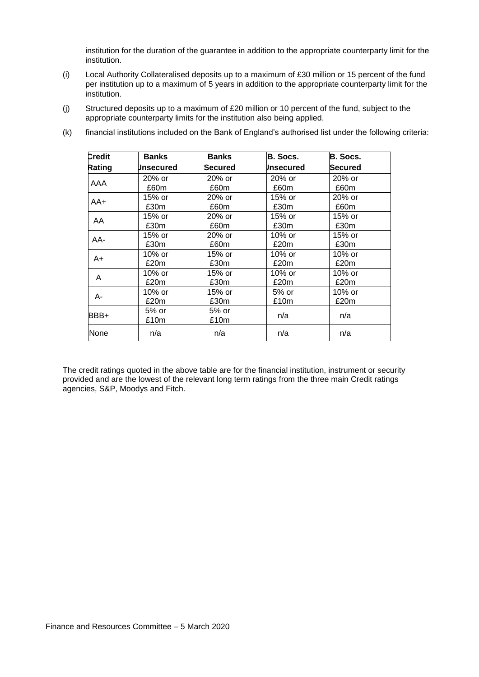institution for the duration of the guarantee in addition to the appropriate counterparty limit for the institution.

- (i) Local Authority Collateralised deposits up to a maximum of £30 million or 15 percent of the fund per institution up to a maximum of 5 years in addition to the appropriate counterparty limit for the institution.
- (j) Structured deposits up to a maximum of £20 million or 10 percent of the fund, subject to the appropriate counterparty limits for the institution also being applied.

| Credit | <b>Banks</b> | <b>Banks</b>   | B. Socs.  | B. Socs.  |
|--------|--------------|----------------|-----------|-----------|
| Rating | Unsecured    | <b>Secured</b> | Unsecured | Secured   |
| AAA    | $20\%$ or    | $20\%$ or      | $20\%$ or | $20\%$ or |
|        | £60m         | £60m           | £60m      | £60m      |
| AA+    | 15% or       | $20\%$ or      | 15% or    | $20\%$ or |
|        | £30m         | £60m           | £30m      | £60m      |
| AA     | 15% or       | $20\%$ or      | $15%$ or  | 15% or    |
|        | £30m         | £60m           | £30m      | £30m      |
| AA-    | 15% or       | $20\%$ or      | $10\%$ or | $15%$ or  |
|        | £30m         | £60m           | £20m      | £30m      |
| A+     | 10% or       | 15% or         | $10\%$ or | $10\%$ or |
|        | £20m         | £30m           | £20m      | £20m      |
| A      | 10% or       | 15% or         | $10\%$ or | $10\%$ or |
|        | £20m         | £30m           | £20m      | £20m      |
| А-     | $10\%$ or    | 15% or         | $5%$ or   | 10% or    |
|        | £20m         | £30m           | £10m      | £20m      |
| BBB+   | $5%$ or      | 5% or          | n/a       | n/a       |
|        | £10m         | £10m           |           |           |
| None   | n/a          | n/a            | n/a       | n/a       |

(k) financial institutions included on the Bank of England's authorised list under the following criteria:

The credit ratings quoted in the above table are for the financial institution, instrument or security provided and are the lowest of the relevant long term ratings from the three main Credit ratings agencies, S&P, Moodys and Fitch.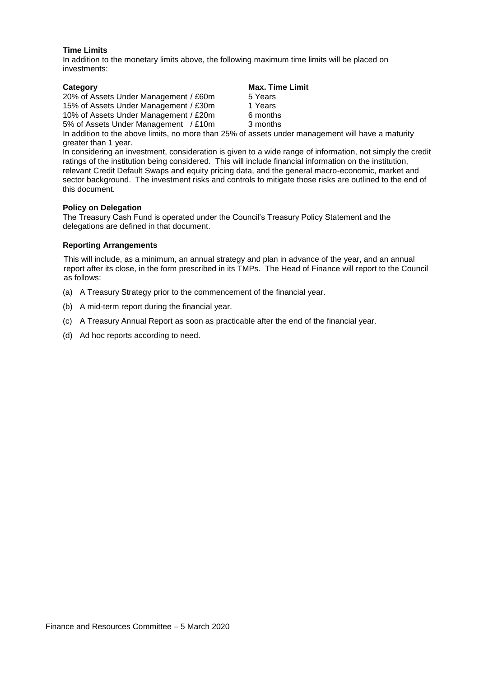### **Time Limits**

In addition to the monetary limits above, the following maximum time limits will be placed on investments:

| Category                              | <b>Max. Time Limit</b> |
|---------------------------------------|------------------------|
| 20% of Assets Under Management / £60m | 5 Years                |
| 15% of Assets Under Management / £30m | 1 Years                |
| 10% of Assets Under Management / £20m | 6 months               |
| 5% of Assets Under Management / £10m  | 3 months               |

In addition to the above limits, no more than 25% of assets under management will have a maturity greater than 1 year.

In considering an investment, consideration is given to a wide range of information, not simply the credit ratings of the institution being considered. This will include financial information on the institution, relevant Credit Default Swaps and equity pricing data, and the general macro-economic, market and sector background. The investment risks and controls to mitigate those risks are outlined to the end of this document.

### **Policy on Delegation**

The Treasury Cash Fund is operated under the Council's Treasury Policy Statement and the delegations are defined in that document.

### **Reporting Arrangements**

This will include, as a minimum, an annual strategy and plan in advance of the year, and an annual report after its close, in the form prescribed in its TMPs. The Head of Finance will report to the Council as follows:

- (a) A Treasury Strategy prior to the commencement of the financial year.
- (b) A mid-term report during the financial year.
- (c) A Treasury Annual Report as soon as practicable after the end of the financial year.
- (d) Ad hoc reports according to need.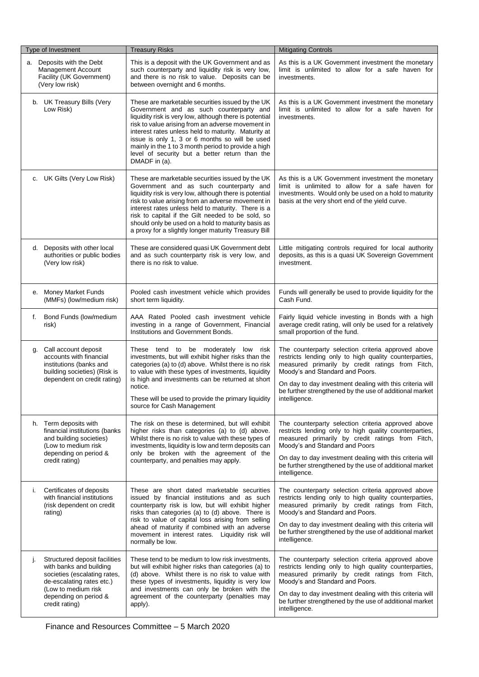| <b>Type of Investment</b>                                                                                                                                                                     | <b>Treasury Risks</b>                                                                                                                                                                                                                                                                                                                                                                                                                          | <b>Mitigating Controls</b>                                                                                                                                                                                                                                                                                                                  |
|-----------------------------------------------------------------------------------------------------------------------------------------------------------------------------------------------|------------------------------------------------------------------------------------------------------------------------------------------------------------------------------------------------------------------------------------------------------------------------------------------------------------------------------------------------------------------------------------------------------------------------------------------------|---------------------------------------------------------------------------------------------------------------------------------------------------------------------------------------------------------------------------------------------------------------------------------------------------------------------------------------------|
| a. Deposits with the Debt<br><b>Management Account</b><br>Facility (UK Government)<br>(Very low risk)                                                                                         | This is a deposit with the UK Government and as<br>such counterparty and liquidity risk is very low,<br>and there is no risk to value. Deposits can be<br>between overnight and 6 months.                                                                                                                                                                                                                                                      | As this is a UK Government investment the monetary<br>limit is unlimited to allow for a safe haven for<br>investments.                                                                                                                                                                                                                      |
| b. UK Treasury Bills (Very<br>Low Risk)                                                                                                                                                       | These are marketable securities issued by the UK<br>Government and as such counterparty and<br>liquidity risk is very low, although there is potential<br>risk to value arising from an adverse movement in<br>interest rates unless held to maturity. Maturity at<br>issue is only 1, 3 or 6 months so will be used<br>mainly in the 1 to 3 month period to provide a high<br>level of security but a better return than the<br>DMADF in (a). | As this is a UK Government investment the monetary<br>limit is unlimited to allow for a safe haven for<br>investments.                                                                                                                                                                                                                      |
| c. UK Gilts (Very Low Risk)                                                                                                                                                                   | These are marketable securities issued by the UK<br>Government and as such counterparty and<br>liquidity risk is very low, although there is potential<br>risk to value arising from an adverse movement in<br>interest rates unless held to maturity. There is a<br>risk to capital if the Gilt needed to be sold, so<br>should only be used on a hold to maturity basis as<br>a proxy for a slightly longer maturity Treasury Bill           | As this is a UK Government investment the monetary<br>limit is unlimited to allow for a safe haven for<br>investments. Would only be used on a hold to maturity<br>basis at the very short end of the yield curve.                                                                                                                          |
| d. Deposits with other local<br>authorities or public bodies<br>(Very low risk)                                                                                                               | These are considered quasi UK Government debt<br>and as such counterparty risk is very low, and<br>there is no risk to value.                                                                                                                                                                                                                                                                                                                  | Little mitigating controls required for local authority<br>deposits, as this is a quasi UK Sovereign Government<br>investment.                                                                                                                                                                                                              |
| e. Money Market Funds<br>(MMFs) (low/medium risk)                                                                                                                                             | Pooled cash investment vehicle which provides<br>short term liquidity.                                                                                                                                                                                                                                                                                                                                                                         | Funds will generally be used to provide liquidity for the<br>Cash Fund.                                                                                                                                                                                                                                                                     |
| Bond Funds (low/medium<br>f.<br>risk)                                                                                                                                                         | AAA Rated Pooled cash investment vehicle<br>investing in a range of Government, Financial<br>Institutions and Government Bonds.                                                                                                                                                                                                                                                                                                                | Fairly liquid vehicle investing in Bonds with a high<br>average credit rating, will only be used for a relatively<br>small proportion of the fund.                                                                                                                                                                                          |
| Call account deposit<br>g.<br>accounts with financial<br>institutions (banks and<br>building societies) (Risk is<br>dependent on credit rating)                                               | These tend to be moderately low risk<br>investments, but will exhibit higher risks than the<br>categories (a) to (d) above. Whilst there is no risk<br>to value with these types of investments, liquidity<br>is high and investments can be returned at short<br>notice.<br>These will be used to provide the primary liquidity<br>source for Cash Management                                                                                 | The counterparty selection criteria approved above<br>restricts lending only to high quality counterparties,<br>measured primarily by credit ratings from Fitch,<br>Moody's and Standard and Poors.<br>On day to day investment dealing with this criteria will<br>be further strengthened by the use of additional market<br>intelligence. |
| h. Term deposits with<br>financial institutions (banks<br>and building societies)<br>(Low to medium risk<br>depending on period &<br>credit rating)                                           | The risk on these is determined, but will exhibit<br>higher risks than categories (a) to (d) above.<br>Whilst there is no risk to value with these types of<br>investments, liquidity is low and term deposits can<br>only be broken with the agreement of the<br>counterparty, and penalties may apply.                                                                                                                                       | The counterparty selection criteria approved above<br>restricts lending only to high quality counterparties,<br>measured primarily by credit ratings from Fitch,<br>Moody's and Standard and Poors<br>On day to day investment dealing with this criteria will<br>be further strengthened by the use of additional market<br>intelligence.  |
| Certificates of deposits<br>i.<br>with financial institutions<br>(risk dependent on credit)<br>rating)                                                                                        | These are short dated marketable securities<br>issued by financial institutions and as such<br>counterparty risk is low, but will exhibit higher<br>risks than categories (a) to (d) above. There is<br>risk to value of capital loss arising from selling<br>ahead of maturity if combined with an adverse<br>movement in interest rates. Liquidity risk will<br>normally be low.                                                             | The counterparty selection criteria approved above<br>restricts lending only to high quality counterparties,<br>measured primarily by credit ratings from Fitch,<br>Moody's and Standard and Poors.<br>On day to day investment dealing with this criteria will<br>be further strengthened by the use of additional market<br>intelligence. |
| Structured deposit facilities<br>j.<br>with banks and building<br>societies (escalating rates,<br>de-escalating rates etc.)<br>(Low to medium risk<br>depending on period &<br>credit rating) | These tend to be medium to low risk investments,<br>but will exhibit higher risks than categories (a) to<br>(d) above. Whilst there is no risk to value with<br>these types of investments, liquidity is very low<br>and investments can only be broken with the<br>agreement of the counterparty (penalties may<br>apply).                                                                                                                    | The counterparty selection criteria approved above<br>restricts lending only to high quality counterparties,<br>measured primarily by credit ratings from Fitch,<br>Moody's and Standard and Poors.<br>On day to day investment dealing with this criteria will<br>be further strengthened by the use of additional market<br>intelligence. |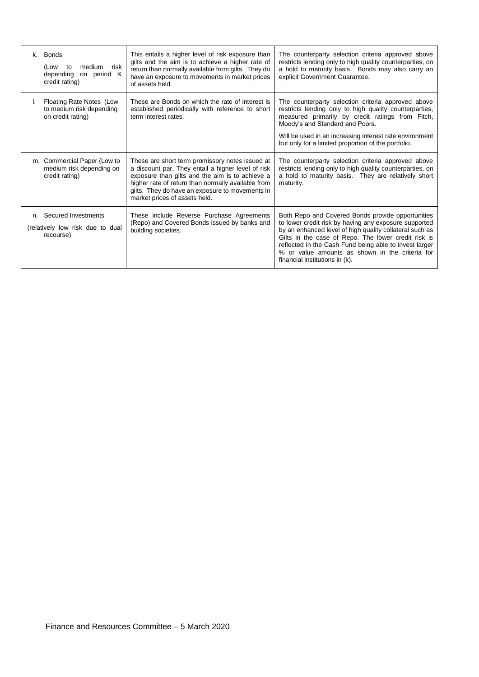|    | k. Bonds<br>medium<br>risk<br>(Low to<br>depending<br>on period &<br>credit rating) | This entails a higher level of risk exposure than<br>gilts and the aim is to achieve a higher rate of<br>return than normally available from gilts. They do<br>have an exposure to movements in market prices<br>of assets held.                                                                   | The counterparty selection criteria approved above<br>restricts lending only to high quality counterparties, on<br>a hold to maturity basis. Bonds may also carry an<br>explicit Government Guarantee.                                                                                                                                                                      |
|----|-------------------------------------------------------------------------------------|----------------------------------------------------------------------------------------------------------------------------------------------------------------------------------------------------------------------------------------------------------------------------------------------------|-----------------------------------------------------------------------------------------------------------------------------------------------------------------------------------------------------------------------------------------------------------------------------------------------------------------------------------------------------------------------------|
| I. | Floating Rate Notes (Low<br>to medium risk depending<br>on credit rating)           | These are Bonds on which the rate of interest is<br>established periodically with reference to short<br>term interest rates.                                                                                                                                                                       | The counterparty selection criteria approved above<br>restricts lending only to high quality counterparties,<br>measured primarily by credit ratings from Fitch,<br>Moody's and Standard and Poors.<br>Will be used in an increasing interest rate environment<br>but only for a limited proportion of the portfolio.                                                       |
|    | m. Commercial Paper (Low to<br>medium risk depending on<br>credit rating)           | These are short term promissory notes issued at<br>a discount par. They entail a higher level of risk<br>exposure than gilts and the aim is to achieve a<br>higher rate of return than normally available from<br>gilts. They do have an exposure to movements in<br>market prices of assets held. | The counterparty selection criteria approved above<br>restricts lending only to high quality counterparties, on<br>a hold to maturity basis. They are relatively short<br>maturity.                                                                                                                                                                                         |
|    | n. Secured Investments<br>(relatively low risk due to dual<br>recourse)             | These include Reverse Purchase Agreements<br>(Repo) and Covered Bonds issued by banks and<br>building societies.                                                                                                                                                                                   | Both Repo and Covered Bonds provide opportunities<br>to lower credit risk by having any exposure supported<br>by an enhanced level of high quality collateral such as<br>Gilts in the case of Repo. The lower credit risk is<br>reflected in the Cash Fund being able to invest larger<br>% or value amounts as shown in the criteria for<br>financial institutions in (k). |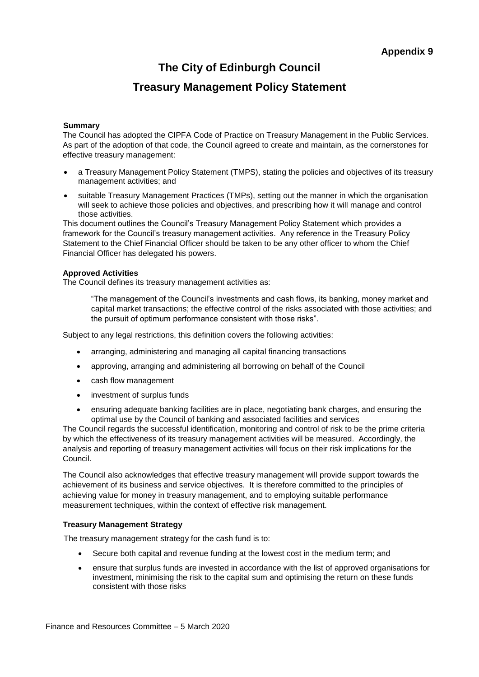## **The City of Edinburgh Council**

## **Treasury Management Policy Statement**

### **Summary**

The Council has adopted the CIPFA Code of Practice on Treasury Management in the Public Services. As part of the adoption of that code, the Council agreed to create and maintain, as the cornerstones for effective treasury management:

- a Treasury Management Policy Statement (TMPS), stating the policies and objectives of its treasury management activities; and
- suitable Treasury Management Practices (TMPs), setting out the manner in which the organisation will seek to achieve those policies and objectives, and prescribing how it will manage and control those activities.

This document outlines the Council's Treasury Management Policy Statement which provides a framework for the Council's treasury management activities. Any reference in the Treasury Policy Statement to the Chief Financial Officer should be taken to be any other officer to whom the Chief Financial Officer has delegated his powers.

#### **Approved Activities**

The Council defines its treasury management activities as:

"The management of the Council's investments and cash flows, its banking, money market and capital market transactions; the effective control of the risks associated with those activities; and the pursuit of optimum performance consistent with those risks".

Subject to any legal restrictions, this definition covers the following activities:

- arranging, administering and managing all capital financing transactions
- approving, arranging and administering all borrowing on behalf of the Council
- cash flow management
- investment of surplus funds
- ensuring adequate banking facilities are in place, negotiating bank charges, and ensuring the optimal use by the Council of banking and associated facilities and services

The Council regards the successful identification, monitoring and control of risk to be the prime criteria by which the effectiveness of its treasury management activities will be measured. Accordingly, the analysis and reporting of treasury management activities will focus on their risk implications for the Council.

The Council also acknowledges that effective treasury management will provide support towards the achievement of its business and service objectives. It is therefore committed to the principles of achieving value for money in treasury management, and to employing suitable performance measurement techniques, within the context of effective risk management.

### **Treasury Management Strategy**

The treasury management strategy for the cash fund is to:

- Secure both capital and revenue funding at the lowest cost in the medium term; and
- ensure that surplus funds are invested in accordance with the list of approved organisations for investment, minimising the risk to the capital sum and optimising the return on these funds consistent with those risks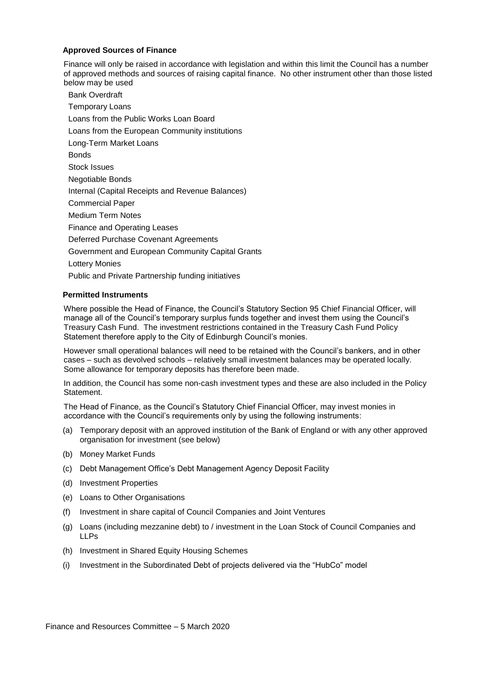### **Approved Sources of Finance**

Finance will only be raised in accordance with legislation and within this limit the Council has a number of approved methods and sources of raising capital finance. No other instrument other than those listed below may be used

Bank Overdraft Temporary Loans Loans from the Public Works Loan Board Loans from the European Community institutions Long-Term Market Loans Bonds Stock Issues Negotiable Bonds Internal (Capital Receipts and Revenue Balances) Commercial Paper Medium Term Notes Finance and Operating Leases Deferred Purchase Covenant Agreements Government and European Community Capital Grants Lottery Monies Public and Private Partnership funding initiatives

### **Permitted Instruments**

Where possible the Head of Finance, the Council's Statutory Section 95 Chief Financial Officer, will manage all of the Council's temporary surplus funds together and invest them using the Council's Treasury Cash Fund. The investment restrictions contained in the Treasury Cash Fund Policy Statement therefore apply to the City of Edinburgh Council's monies.

However small operational balances will need to be retained with the Council's bankers, and in other cases – such as devolved schools – relatively small investment balances may be operated locally. Some allowance for temporary deposits has therefore been made.

In addition, the Council has some non-cash investment types and these are also included in the Policy Statement.

The Head of Finance, as the Council's Statutory Chief Financial Officer, may invest monies in accordance with the Council's requirements only by using the following instruments:

- (a) Temporary deposit with an approved institution of the Bank of England or with any other approved organisation for investment (see below)
- (b) Money Market Funds
- (c) Debt Management Office's Debt Management Agency Deposit Facility
- (d) Investment Properties
- (e) Loans to Other Organisations
- (f) Investment in share capital of Council Companies and Joint Ventures
- (g) Loans (including mezzanine debt) to / investment in the Loan Stock of Council Companies and LLPs
- (h) Investment in Shared Equity Housing Schemes
- (i) Investment in the Subordinated Debt of projects delivered via the "HubCo" model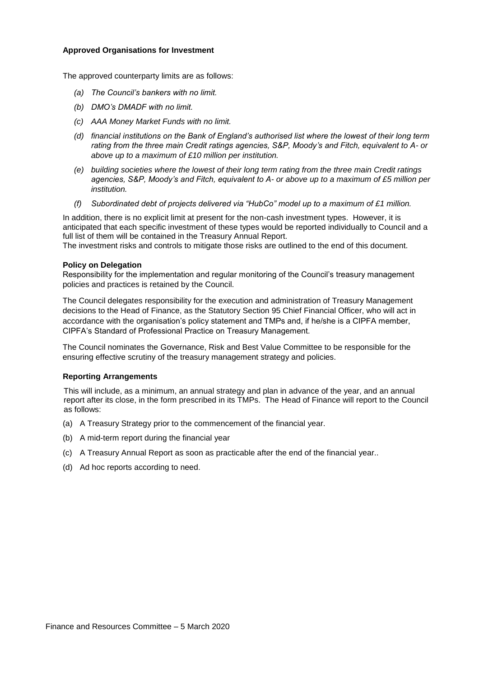### **Approved Organisations for Investment**

The approved counterparty limits are as follows:

- *(a) The Council's bankers with no limit.*
- *(b) DMO's DMADF with no limit.*
- *(c) AAA Money Market Funds with no limit.*
- *(d) financial institutions on the Bank of England's authorised list where the lowest of their long term rating from the three main Credit ratings agencies, S&P, Moody's and Fitch, equivalent to A- or above up to a maximum of £10 million per institution.*
- *(e) building societies where the lowest of their long term rating from the three main Credit ratings agencies, S&P, Moody's and Fitch, equivalent to A- or above up to a maximum of £5 million per institution.*
- *(f) Subordinated debt of projects delivered via "HubCo" model up to a maximum of £1 million.*

In addition, there is no explicit limit at present for the non-cash investment types. However, it is anticipated that each specific investment of these types would be reported individually to Council and a full list of them will be contained in the Treasury Annual Report.

The investment risks and controls to mitigate those risks are outlined to the end of this document.

### **Policy on Delegation**

Responsibility for the implementation and regular monitoring of the Council's treasury management policies and practices is retained by the Council.

The Council delegates responsibility for the execution and administration of Treasury Management decisions to the Head of Finance, as the Statutory Section 95 Chief Financial Officer, who will act in accordance with the organisation's policy statement and TMPs and, if he/she is a CIPFA member, CIPFA's Standard of Professional Practice on Treasury Management.

The Council nominates the Governance, Risk and Best Value Committee to be responsible for the ensuring effective scrutiny of the treasury management strategy and policies.

#### **Reporting Arrangements**

This will include, as a minimum, an annual strategy and plan in advance of the year, and an annual report after its close, in the form prescribed in its TMPs. The Head of Finance will report to the Council as follows:

- (a) A Treasury Strategy prior to the commencement of the financial year.
- (b) A mid-term report during the financial year
- (c) A Treasury Annual Report as soon as practicable after the end of the financial year..
- (d) Ad hoc reports according to need.